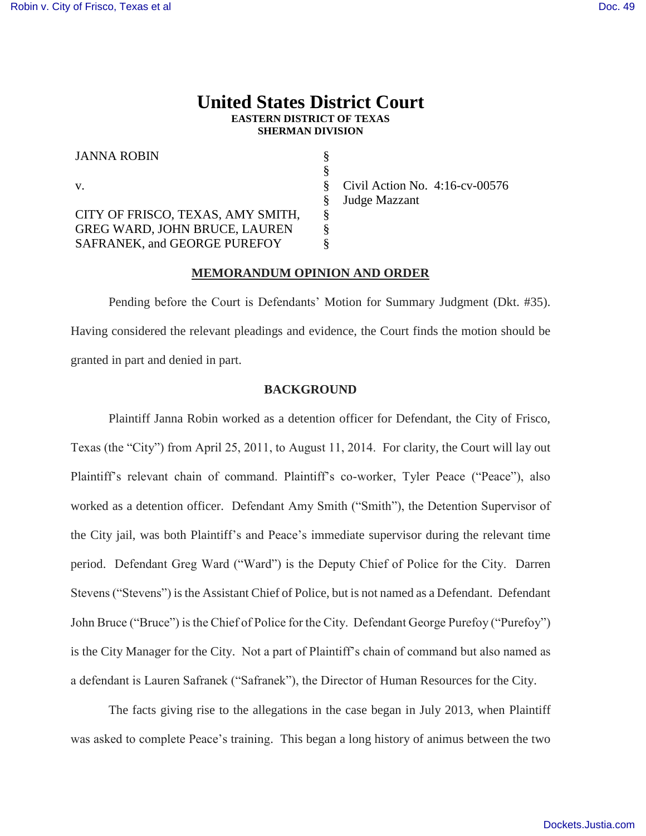## **United States District Court EASTERN DISTRICT OF TEXAS SHERMAN DIVISION**

| <b>JANNA ROBIN</b>                   |                                   |
|--------------------------------------|-----------------------------------|
|                                      |                                   |
| V.                                   | Civil Action No. $4:16$ -cv-00576 |
|                                      | Judge Mazzant                     |
| CITY OF FRISCO, TEXAS, AMY SMITH,    |                                   |
| <b>GREG WARD, JOHN BRUCE, LAUREN</b> |                                   |
| SAFRANEK, and GEORGE PUREFOY         |                                   |

## **MEMORANDUM OPINION AND ORDER**

Pending before the Court is Defendants' Motion for Summary Judgment (Dkt. #35). Having considered the relevant pleadings and evidence, the Court finds the motion should be granted in part and denied in part.

## **BACKGROUND**

Plaintiff Janna Robin worked as a detention officer for Defendant, the City of Frisco, Texas (the "City") from April 25, 2011, to August 11, 2014. For clarity, the Court will lay out Plaintiff's relevant chain of command. Plaintiff's co-worker, Tyler Peace ("Peace"), also worked as a detention officer. Defendant Amy Smith ("Smith"), the Detention Supervisor of the City jail, was both Plaintiff's and Peace's immediate supervisor during the relevant time period. Defendant Greg Ward ("Ward") is the Deputy Chief of Police for the City. Darren Stevens ("Stevens") is the Assistant Chief of Police, but is not named as a Defendant. Defendant John Bruce ("Bruce") is the Chief of Police for the City. Defendant George Purefoy ("Purefoy") is the City Manager for the City. Not a part of Plaintiff's chain of command but also named as a defendant is Lauren Safranek ("Safranek"), the Director of Human Resources for the City.

The facts giving rise to the allegations in the case began in July 2013, when Plaintiff was asked to complete Peace's training. This began a long history of animus between the two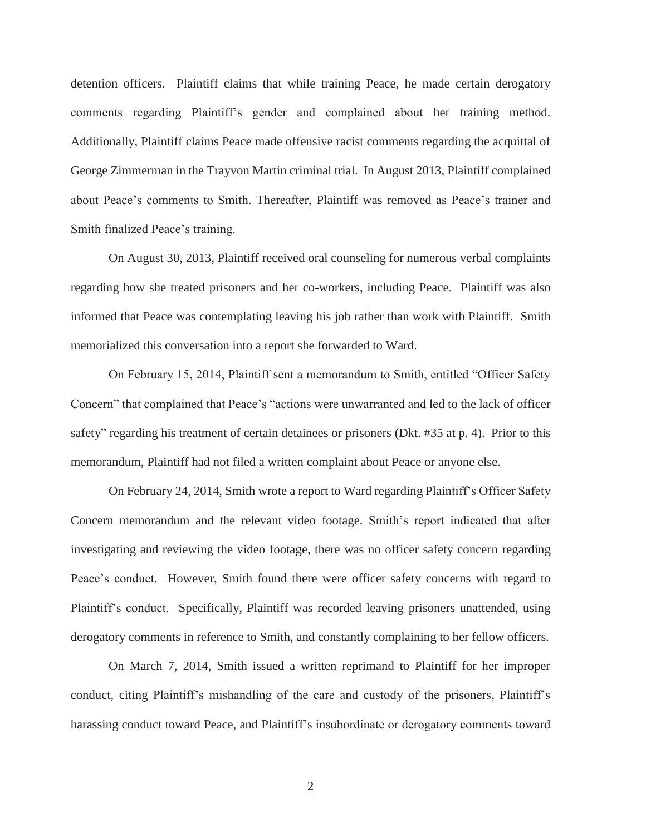detention officers. Plaintiff claims that while training Peace, he made certain derogatory comments regarding Plaintiff's gender and complained about her training method. Additionally, Plaintiff claims Peace made offensive racist comments regarding the acquittal of George Zimmerman in the Trayvon Martin criminal trial. In August 2013, Plaintiff complained about Peace's comments to Smith. Thereafter, Plaintiff was removed as Peace's trainer and Smith finalized Peace's training.

On August 30, 2013, Plaintiff received oral counseling for numerous verbal complaints regarding how she treated prisoners and her co-workers, including Peace. Plaintiff was also informed that Peace was contemplating leaving his job rather than work with Plaintiff. Smith memorialized this conversation into a report she forwarded to Ward.

On February 15, 2014, Plaintiff sent a memorandum to Smith, entitled "Officer Safety Concern" that complained that Peace's "actions were unwarranted and led to the lack of officer safety" regarding his treatment of certain detainees or prisoners (Dkt. #35 at p. 4). Prior to this memorandum, Plaintiff had not filed a written complaint about Peace or anyone else.

On February 24, 2014, Smith wrote a report to Ward regarding Plaintiff's Officer Safety Concern memorandum and the relevant video footage. Smith's report indicated that after investigating and reviewing the video footage, there was no officer safety concern regarding Peace's conduct. However, Smith found there were officer safety concerns with regard to Plaintiff's conduct. Specifically, Plaintiff was recorded leaving prisoners unattended, using derogatory comments in reference to Smith, and constantly complaining to her fellow officers.

On March 7, 2014, Smith issued a written reprimand to Plaintiff for her improper conduct, citing Plaintiff's mishandling of the care and custody of the prisoners, Plaintiff's harassing conduct toward Peace, and Plaintiff's insubordinate or derogatory comments toward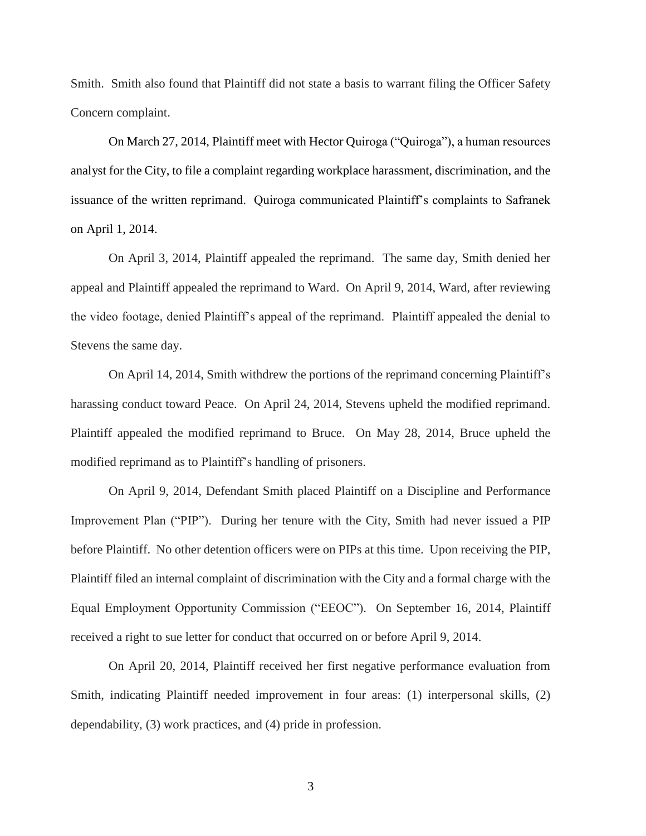Smith. Smith also found that Plaintiff did not state a basis to warrant filing the Officer Safety Concern complaint.

On March 27, 2014, Plaintiff meet with Hector Quiroga ("Quiroga"), a human resources analyst for the City, to file a complaint regarding workplace harassment, discrimination, and the issuance of the written reprimand. Quiroga communicated Plaintiff's complaints to Safranek on April 1, 2014.

On April 3, 2014, Plaintiff appealed the reprimand. The same day, Smith denied her appeal and Plaintiff appealed the reprimand to Ward. On April 9, 2014, Ward, after reviewing the video footage, denied Plaintiff's appeal of the reprimand. Plaintiff appealed the denial to Stevens the same day.

On April 14, 2014, Smith withdrew the portions of the reprimand concerning Plaintiff's harassing conduct toward Peace. On April 24, 2014, Stevens upheld the modified reprimand. Plaintiff appealed the modified reprimand to Bruce. On May 28, 2014, Bruce upheld the modified reprimand as to Plaintiff's handling of prisoners.

On April 9, 2014, Defendant Smith placed Plaintiff on a Discipline and Performance Improvement Plan ("PIP"). During her tenure with the City, Smith had never issued a PIP before Plaintiff. No other detention officers were on PIPs at this time. Upon receiving the PIP, Plaintiff filed an internal complaint of discrimination with the City and a formal charge with the Equal Employment Opportunity Commission ("EEOC"). On September 16, 2014, Plaintiff received a right to sue letter for conduct that occurred on or before April 9, 2014.

On April 20, 2014, Plaintiff received her first negative performance evaluation from Smith, indicating Plaintiff needed improvement in four areas: (1) interpersonal skills, (2) dependability, (3) work practices, and (4) pride in profession.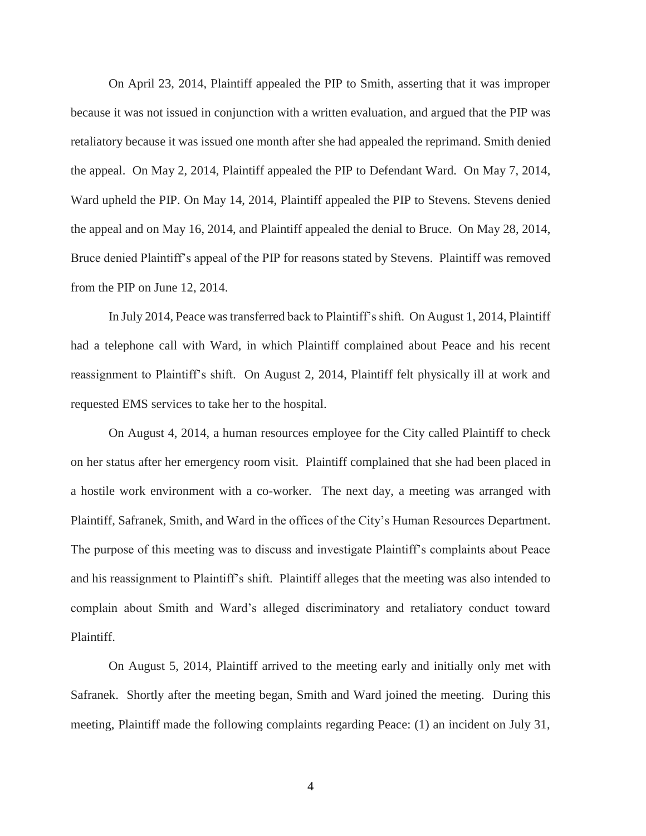On April 23, 2014, Plaintiff appealed the PIP to Smith, asserting that it was improper because it was not issued in conjunction with a written evaluation, and argued that the PIP was retaliatory because it was issued one month after she had appealed the reprimand. Smith denied the appeal. On May 2, 2014, Plaintiff appealed the PIP to Defendant Ward. On May 7, 2014, Ward upheld the PIP. On May 14, 2014, Plaintiff appealed the PIP to Stevens. Stevens denied the appeal and on May 16, 2014, and Plaintiff appealed the denial to Bruce. On May 28, 2014, Bruce denied Plaintiff's appeal of the PIP for reasons stated by Stevens. Plaintiff was removed from the PIP on June 12, 2014.

In July 2014, Peace was transferred back to Plaintiff's shift. On August 1, 2014, Plaintiff had a telephone call with Ward, in which Plaintiff complained about Peace and his recent reassignment to Plaintiff's shift. On August 2, 2014, Plaintiff felt physically ill at work and requested EMS services to take her to the hospital.

On August 4, 2014, a human resources employee for the City called Plaintiff to check on her status after her emergency room visit. Plaintiff complained that she had been placed in a hostile work environment with a co-worker. The next day, a meeting was arranged with Plaintiff, Safranek, Smith, and Ward in the offices of the City's Human Resources Department. The purpose of this meeting was to discuss and investigate Plaintiff's complaints about Peace and his reassignment to Plaintiff's shift. Plaintiff alleges that the meeting was also intended to complain about Smith and Ward's alleged discriminatory and retaliatory conduct toward Plaintiff.

On August 5, 2014, Plaintiff arrived to the meeting early and initially only met with Safranek. Shortly after the meeting began, Smith and Ward joined the meeting. During this meeting, Plaintiff made the following complaints regarding Peace: (1) an incident on July 31,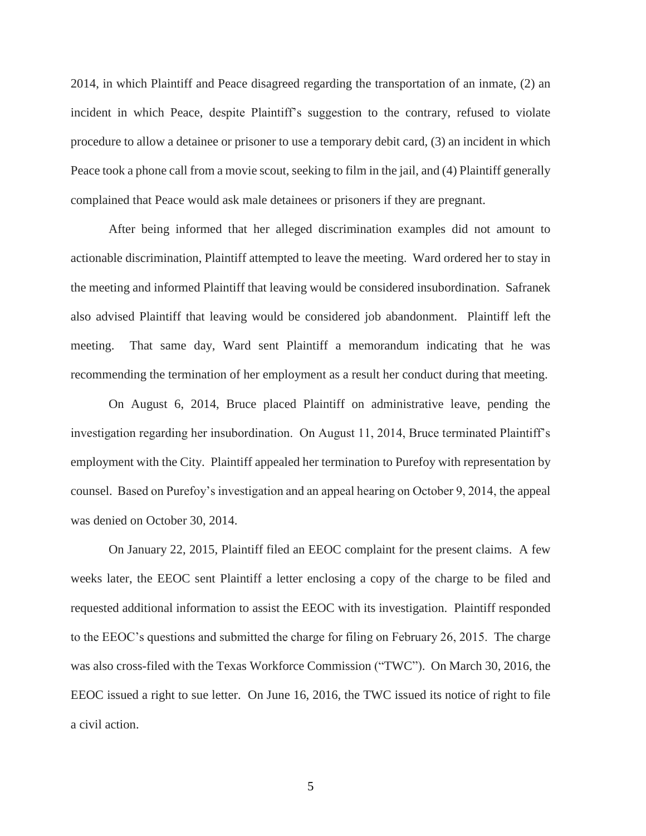2014, in which Plaintiff and Peace disagreed regarding the transportation of an inmate, (2) an incident in which Peace, despite Plaintiff's suggestion to the contrary, refused to violate procedure to allow a detainee or prisoner to use a temporary debit card, (3) an incident in which Peace took a phone call from a movie scout, seeking to film in the jail, and (4) Plaintiff generally complained that Peace would ask male detainees or prisoners if they are pregnant.

After being informed that her alleged discrimination examples did not amount to actionable discrimination, Plaintiff attempted to leave the meeting. Ward ordered her to stay in the meeting and informed Plaintiff that leaving would be considered insubordination. Safranek also advised Plaintiff that leaving would be considered job abandonment. Plaintiff left the meeting. That same day, Ward sent Plaintiff a memorandum indicating that he was recommending the termination of her employment as a result her conduct during that meeting.

On August 6, 2014, Bruce placed Plaintiff on administrative leave, pending the investigation regarding her insubordination. On August 11, 2014, Bruce terminated Plaintiff's employment with the City. Plaintiff appealed her termination to Purefoy with representation by counsel. Based on Purefoy's investigation and an appeal hearing on October 9, 2014, the appeal was denied on October 30, 2014.

On January 22, 2015, Plaintiff filed an EEOC complaint for the present claims. A few weeks later, the EEOC sent Plaintiff a letter enclosing a copy of the charge to be filed and requested additional information to assist the EEOC with its investigation. Plaintiff responded to the EEOC's questions and submitted the charge for filing on February 26, 2015. The charge was also cross-filed with the Texas Workforce Commission ("TWC"). On March 30, 2016, the EEOC issued a right to sue letter. On June 16, 2016, the TWC issued its notice of right to file a civil action.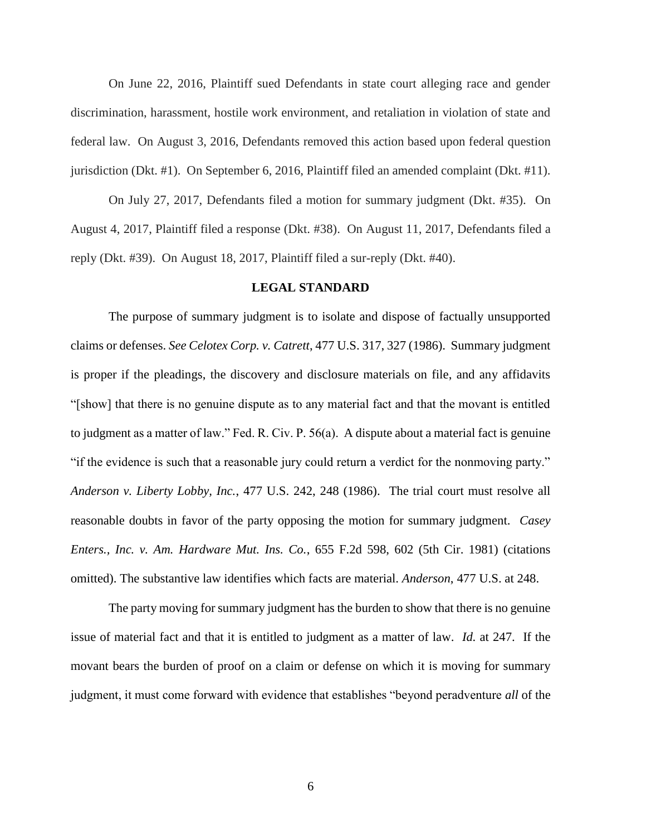On June 22, 2016, Plaintiff sued Defendants in state court alleging race and gender discrimination, harassment, hostile work environment, and retaliation in violation of state and federal law. On August 3, 2016, Defendants removed this action based upon federal question jurisdiction (Dkt. #1). On September 6, 2016, Plaintiff filed an amended complaint (Dkt. #11).

On July 27, 2017, Defendants filed a motion for summary judgment (Dkt. #35). On August 4, 2017, Plaintiff filed a response (Dkt. #38). On August 11, 2017, Defendants filed a reply (Dkt. #39). On August 18, 2017, Plaintiff filed a sur-reply (Dkt. #40).

#### **LEGAL STANDARD**

The purpose of summary judgment is to isolate and dispose of factually unsupported claims or defenses. *See Celotex Corp. v. Catrett*, 477 U.S. 317, 327 (1986). Summary judgment is proper if the pleadings, the discovery and disclosure materials on file, and any affidavits "[show] that there is no genuine dispute as to any material fact and that the movant is entitled to judgment as a matter of law." Fed. R. Civ. P. 56(a). A dispute about a material fact is genuine "if the evidence is such that a reasonable jury could return a verdict for the nonmoving party." *Anderson v. Liberty Lobby, Inc.*, 477 U.S. 242, 248 (1986). The trial court must resolve all reasonable doubts in favor of the party opposing the motion for summary judgment. *Casey Enters., Inc. v. Am. Hardware Mut. Ins. Co.*, 655 F.2d 598, 602 (5th Cir. 1981) (citations omitted). The substantive law identifies which facts are material. *Anderson*, 477 U.S. at 248.

The party moving for summary judgment has the burden to show that there is no genuine issue of material fact and that it is entitled to judgment as a matter of law. *Id.* at 247. If the movant bears the burden of proof on a claim or defense on which it is moving for summary judgment, it must come forward with evidence that establishes "beyond peradventure *all* of the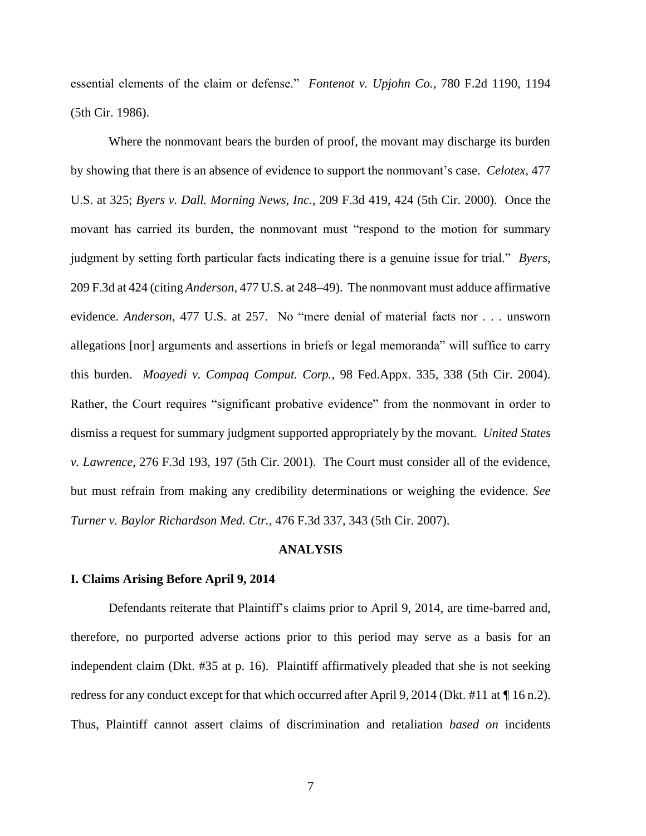essential elements of the claim or defense." *Fontenot v. Upjohn Co.*, 780 F.2d 1190, 1194 (5th Cir. 1986).

Where the nonmovant bears the burden of proof, the movant may discharge its burden by showing that there is an absence of evidence to support the nonmovant's case. *Celotex*, 477 U.S. at 325; *Byers v. Dall. Morning News, Inc.*, 209 F.3d 419, 424 (5th Cir. 2000). Once the movant has carried its burden, the nonmovant must "respond to the motion for summary judgment by setting forth particular facts indicating there is a genuine issue for trial." *[Byers](https://1.next.westlaw.com/Link/Document/FullText?findType=Y&serNum=2000094546&pubNum=0000506&originatingDoc=I44e64f90565611e7b7978f65e9bf93b3&refType=RP&fi=co_pp_sp_506_424&originationContext=document&transitionType=DocumentItem&contextData=(sc.Search)#co_pp_sp_506_424)*, [209 F.3d at 424](https://1.next.westlaw.com/Link/Document/FullText?findType=Y&serNum=2000094546&pubNum=0000506&originatingDoc=I44e64f90565611e7b7978f65e9bf93b3&refType=RP&fi=co_pp_sp_506_424&originationContext=document&transitionType=DocumentItem&contextData=(sc.Search)#co_pp_sp_506_424) (citing *Anderson*[, 477 U.S. at 248–49\)](https://1.next.westlaw.com/Link/Document/FullText?findType=Y&serNum=1986132674&pubNum=0000780&originatingDoc=I44e64f90565611e7b7978f65e9bf93b3&refType=RP&fi=co_pp_sp_780_248&originationContext=document&transitionType=DocumentItem&contextData=(sc.Search)#co_pp_sp_780_248). The nonmovant must adduce affirmative evidence. *Anderson*[, 477 U.S. at 257.](https://1.next.westlaw.com/Link/Document/FullText?findType=Y&serNum=1986132674&pubNum=0000780&originatingDoc=I44e64f90565611e7b7978f65e9bf93b3&refType=RP&fi=co_pp_sp_780_257&originationContext=document&transitionType=DocumentItem&contextData=(sc.Search)#co_pp_sp_780_257) No "mere denial of material facts nor . . . unsworn allegations [nor] arguments and assertions in briefs or legal memoranda" will suffice to carry this burden. *Moayedi v. Compaq Comput. Corp.*, 98 Fed.Appx. 335, 338 (5th Cir. 2004). Rather, the Court requires "significant probative evidence" from the nonmovant in order to dismiss a request for summary judgment supported appropriately by the movant. *United States v. Lawrence*, 276 F.3d 193, 197 (5th Cir. 2001). The Court must consider all of the evidence, but must refrain from making any credibility determinations or weighing the evidence. *See Turner v. Baylor Richardson Med. Ctr.*, 476 F.3d 337, 343 (5th Cir. 2007).

### **ANALYSIS**

#### **I. Claims Arising Before April 9, 2014**

Defendants reiterate that Plaintiff's claims prior to April 9, 2014, are time-barred and, therefore, no purported adverse actions prior to this period may serve as a basis for an independent claim (Dkt. #35 at p. 16). Plaintiff affirmatively pleaded that she is not seeking redress for any conduct except for that which occurred after April 9, 2014 (Dkt. #11 at  $\P$  16 n.2). Thus, Plaintiff cannot assert claims of discrimination and retaliation *based on* incidents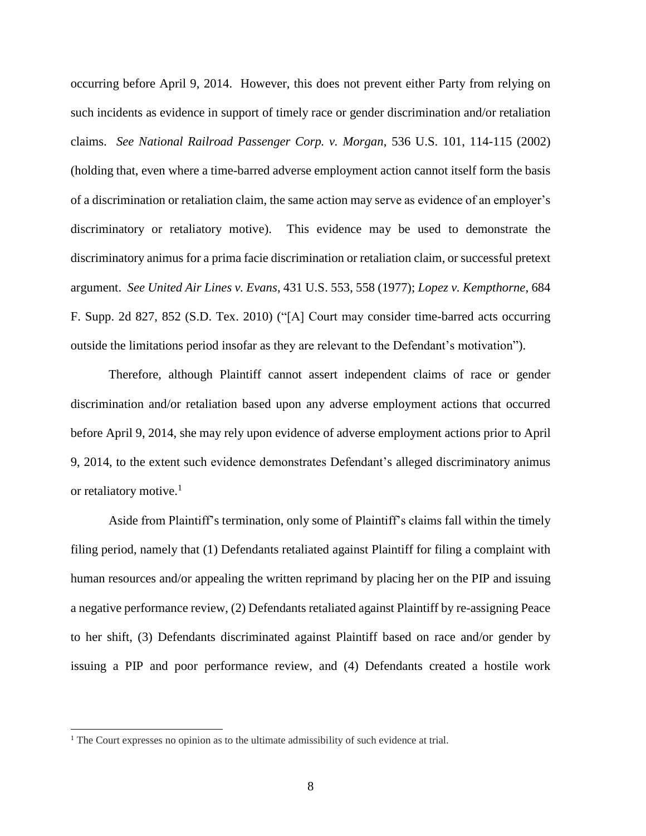occurring before April 9, 2014. However, this does not prevent either Party from relying on such incidents as evidence in support of timely race or gender discrimination and/or retaliation claims. *See National Railroad Passenger Corp. v. Morgan*, 536 U.S. 101, 114-115 (2002) (holding that, even where a time-barred adverse employment action cannot itself form the basis of a discrimination or retaliation claim, the same action may serve as evidence of an employer's discriminatory or retaliatory motive). This evidence may be used to demonstrate the discriminatory animus for a prima facie discrimination or retaliation claim, or successful pretext argument. *See United Air Lines v. Evans*, 431 U.S. 553, 558 (1977); *Lopez v. Kempthorne*, 684 F. Supp. 2d 827, 852 (S.D. Tex. 2010) ("[A] Court may consider time-barred acts occurring outside the limitations period insofar as they are relevant to the Defendant's motivation").

Therefore, although Plaintiff cannot assert independent claims of race or gender discrimination and/or retaliation based upon any adverse employment actions that occurred before April 9, 2014, she may rely upon evidence of adverse employment actions prior to April 9, 2014, to the extent such evidence demonstrates Defendant's alleged discriminatory animus or retaliatory motive.<sup>1</sup>

Aside from Plaintiff's termination, only some of Plaintiff's claims fall within the timely filing period, namely that (1) Defendants retaliated against Plaintiff for filing a complaint with human resources and/or appealing the written reprimand by placing her on the PIP and issuing a negative performance review, (2) Defendants retaliated against Plaintiff by re-assigning Peace to her shift, (3) Defendants discriminated against Plaintiff based on race and/or gender by issuing a PIP and poor performance review, and (4) Defendants created a hostile work

l

<sup>&</sup>lt;sup>1</sup> The Court expresses no opinion as to the ultimate admissibility of such evidence at trial.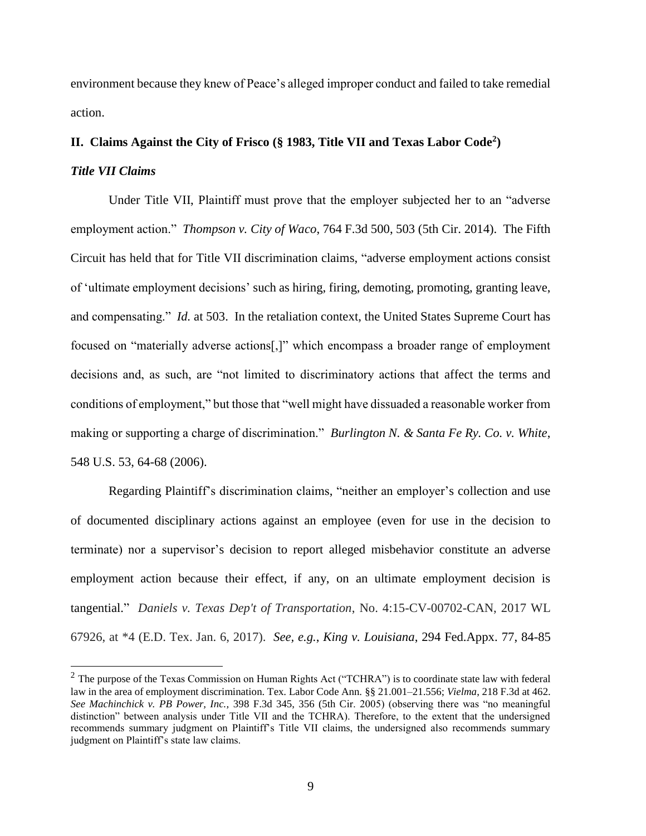environment because they knew of Peace's alleged improper conduct and failed to take remedial action.

# **II. Claims Against the City of Frisco (§ 1983, Title VII and Texas Labor Code<sup>2</sup> )** *Title VII Claims*

Under Title VII, Plaintiff must prove that the employer subjected her to an "adverse employment action." *Thompson v. City of Waco*, 764 F.3d 500, 503 (5th Cir. 2014). The Fifth Circuit has held that for Title VII discrimination claims, "adverse employment actions consist of 'ultimate employment decisions' such as hiring, firing, demoting, promoting, granting leave, and compensating." *Id.* at 503. In the retaliation context, the United States Supreme Court has focused on "materially adverse actions[,]" which encompass a broader range of employment decisions and, as such, are "not limited to discriminatory actions that affect the terms and conditions of employment," but those that "well might have dissuaded a reasonable worker from making or supporting a charge of discrimination." *Burlington N. & Santa Fe Ry. Co. v. White*, 548 U.S. 53, 64-68 (2006).

Regarding Plaintiff's discrimination claims, "neither an employer's collection and use of documented disciplinary actions against an employee (even for use in the decision to terminate) nor a supervisor's decision to report alleged misbehavior constitute an adverse employment action because their effect, if any, on an ultimate employment decision is tangential." *Daniels v. Texas Dep't of Transportation*, No. 4:15-CV-00702-CAN, 2017 WL 67926, at \*4 (E.D. Tex. Jan. 6, 2017). *See, e.g.*, *King v. Louisiana*, 294 Fed.Appx. 77, 84-85

l

 $2$  The purpose of the Texas Commission on Human Rights Act ("TCHRA") is to coordinate state law with federal law in the area of employment discrimination. Tex. Labor Code Ann. §§ 21.001–21.556; *Vielma*, 218 F.3d at 462. *See Machinchick v. PB Power, Inc.,* 398 F.3d 345, 356 (5th Cir. 2005) (observing there was "no meaningful distinction" between analysis under Title VII and the TCHRA). Therefore, to the extent that the undersigned recommends summary judgment on Plaintiff's Title VII claims, the undersigned also recommends summary judgment on Plaintiff's state law claims.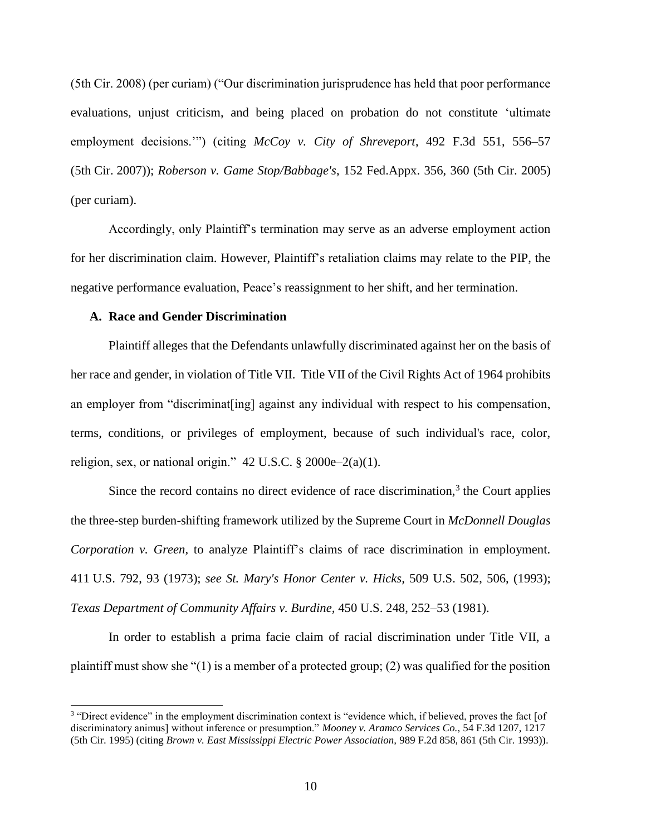(5th Cir. 2008) (per curiam) ("Our discrimination jurisprudence has held that poor performance evaluations, unjust criticism, and being placed on probation do not constitute 'ultimate employment decisions.'") (citing *McCoy v. City of Shreveport*, 492 F.3d 551, 556–57 (5th Cir. 2007)); *Roberson v. Game Stop/Babbage's*, 152 Fed.Appx. 356, 360 (5th Cir. 2005) (per curiam).

Accordingly, only Plaintiff's termination may serve as an adverse employment action for her discrimination claim. However, Plaintiff's retaliation claims may relate to the PIP, the negative performance evaluation, Peace's reassignment to her shift, and her termination.

## **A. Race and Gender Discrimination**

l

Plaintiff alleges that the Defendants unlawfully discriminated against her on the basis of her race and gender, in violation of Title VII. Title VII of the Civil Rights Act of 1964 prohibits an employer from "discriminat[ing] against any individual with respect to his compensation, terms, conditions, or privileges of employment, because of such individual's race, color, religion, sex, or national origin."  $42$  U.S.C. § 2000e–2(a)(1).

Since the record contains no direct evidence of race discrimination, $3$  the Court applies the three-step burden-shifting framework utilized by the Supreme Court in *McDonnell Douglas Corporation v. Green,* to analyze Plaintiff's claims of race discrimination in employment. 411 U.S. 792, 93 (1973); *see St. Mary's Honor Center v. Hicks,* 509 U.S. 502, 506, (1993); *Texas Department of Community Affairs v. Burdine,* 450 U.S. 248, 252–53 (1981).

In order to establish a prima facie claim of racial discrimination under Title VII, a plaintiff must show she "(1) is a member of a protected group; (2) was qualified for the position

<sup>&</sup>lt;sup>3</sup> "Direct evidence" in the employment discrimination context is "evidence which, if believed, proves the fact [of discriminatory animus] without inference or presumption." *Mooney v. Aramco Services Co.,* 54 F.3d 1207, 1217 (5th Cir. 1995) (citing *Brown v. East Mississippi Electric Power Association,* 989 F.2d 858, 861 (5th Cir. 1993)).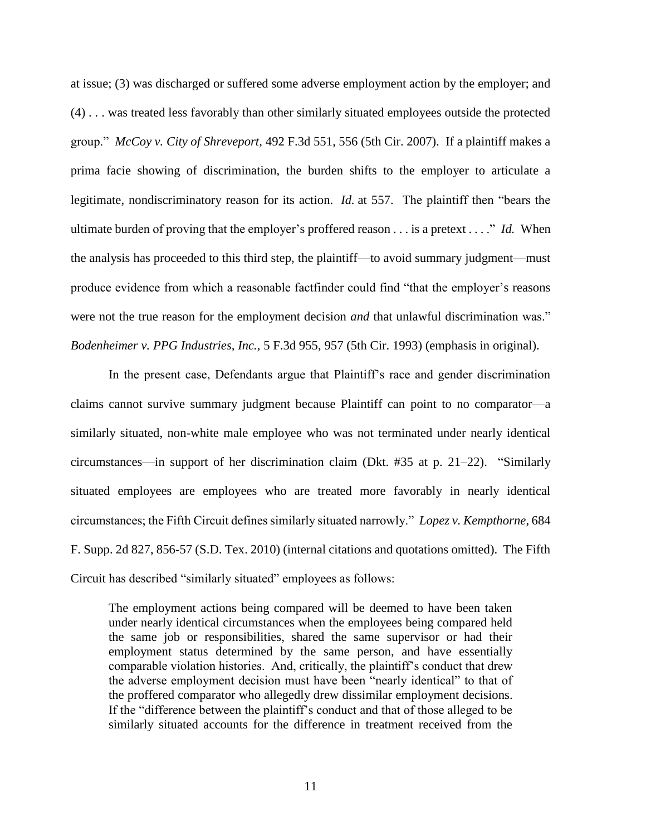at issue; (3) was discharged or suffered some adverse employment action by the employer; and (4) . . . was treated less favorably than other similarly situated employees outside the protected group." *McCoy v. City of Shreveport,* 492 F.3d 551, 556 (5th Cir. 2007). If a plaintiff makes a prima facie showing of discrimination, the burden shifts to the employer to articulate a legitimate, nondiscriminatory reason for its action. *Id.* at 557. The plaintiff then "bears the ultimate burden of proving that the employer's proffered reason . . . is a pretext . . . ." *Id.* When the analysis has proceeded to this third step, the plaintiff—to avoid summary judgment—must produce evidence from which a reasonable factfinder could find "that the employer's reasons were not the true reason for the employment decision *and* that unlawful discrimination was." *Bodenheimer v. PPG Industries, Inc.,* 5 F.3d 955, 957 (5th Cir. 1993) (emphasis in original).

In the present case, Defendants argue that Plaintiff's race and gender discrimination claims cannot survive summary judgment because Plaintiff can point to no comparator—a similarly situated, non-white male employee who was not terminated under nearly identical circumstances—in support of her discrimination claim (Dkt. #35 at p. 21–22). "Similarly situated employees are employees who are treated more favorably in nearly identical circumstances; the Fifth Circuit defines similarly situated narrowly." *Lopez v. Kempthorne*, 684 F. Supp. 2d 827, 856-57 (S.D. Tex. 2010) (internal citations and quotations omitted). The Fifth Circuit has described "similarly situated" employees as follows:

The employment actions being compared will be deemed to have been taken under nearly identical circumstances when the employees being compared held the same job or responsibilities, shared the same supervisor or had their employment status determined by the same person, and have essentially comparable violation histories. And, critically, the plaintiff's conduct that drew the adverse employment decision must have been "nearly identical" to that of the proffered comparator who allegedly drew dissimilar employment decisions. If the "difference between the plaintiff's conduct and that of those alleged to be similarly situated accounts for the difference in treatment received from the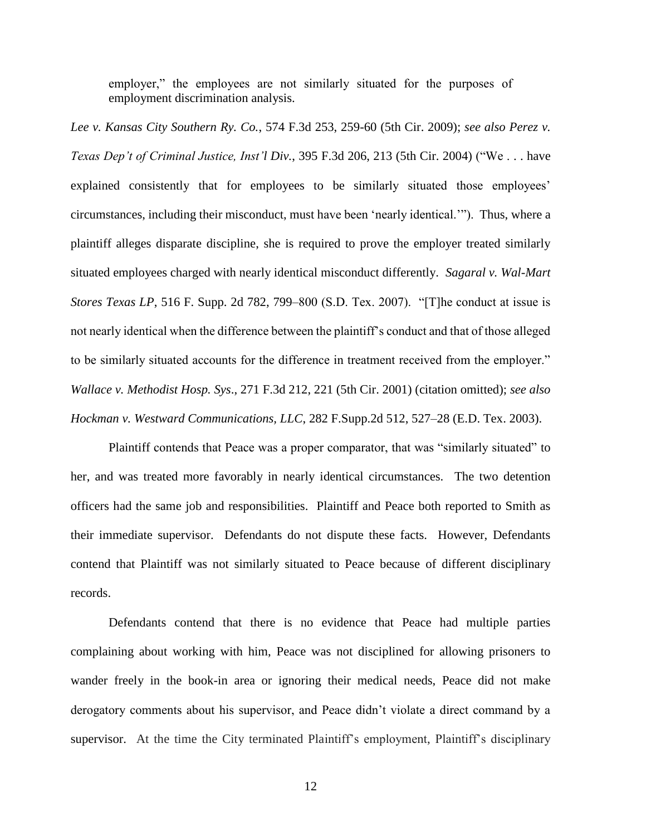employer," the employees are not similarly situated for the purposes of employment discrimination analysis.

*Lee v. Kansas City Southern Ry. Co.*, 574 F.3d 253, 259-60 (5th Cir. 2009); *see also Perez v. Texas Dep't of Criminal Justice, Inst'l Div.*, 395 F.3d 206, 213 (5th Cir. 2004) ("We . . . have explained consistently that for employees to be similarly situated those employees' circumstances, including their misconduct, must have been 'nearly identical.'"). Thus, where a plaintiff alleges disparate discipline, she is required to prove the employer treated similarly situated employees charged with nearly identical misconduct differently. *Sagaral v. Wal-Mart Stores Texas LP*, 516 F. Supp. 2d 782, 799–800 (S.D. Tex. 2007). "[T]he conduct at issue is not nearly identical when the difference between the plaintiff's conduct and that of those alleged to be similarly situated accounts for the difference in treatment received from the employer." *Wallace v. Methodist Hosp. Sys*., 271 F.3d 212, 221 (5th Cir. 2001) (citation omitted); *see also Hockman v. Westward Communications, LLC*, 282 F.Supp.2d 512, 527–28 (E.D. Tex. 2003).

Plaintiff contends that Peace was a proper comparator, that was "similarly situated" to her, and was treated more favorably in nearly identical circumstances. The two detention officers had the same job and responsibilities. Plaintiff and Peace both reported to Smith as their immediate supervisor. Defendants do not dispute these facts. However, Defendants contend that Plaintiff was not similarly situated to Peace because of different disciplinary records.

Defendants contend that there is no evidence that Peace had multiple parties complaining about working with him, Peace was not disciplined for allowing prisoners to wander freely in the book-in area or ignoring their medical needs, Peace did not make derogatory comments about his supervisor, and Peace didn't violate a direct command by a supervisor. At the time the City terminated Plaintiff's employment, Plaintiff's disciplinary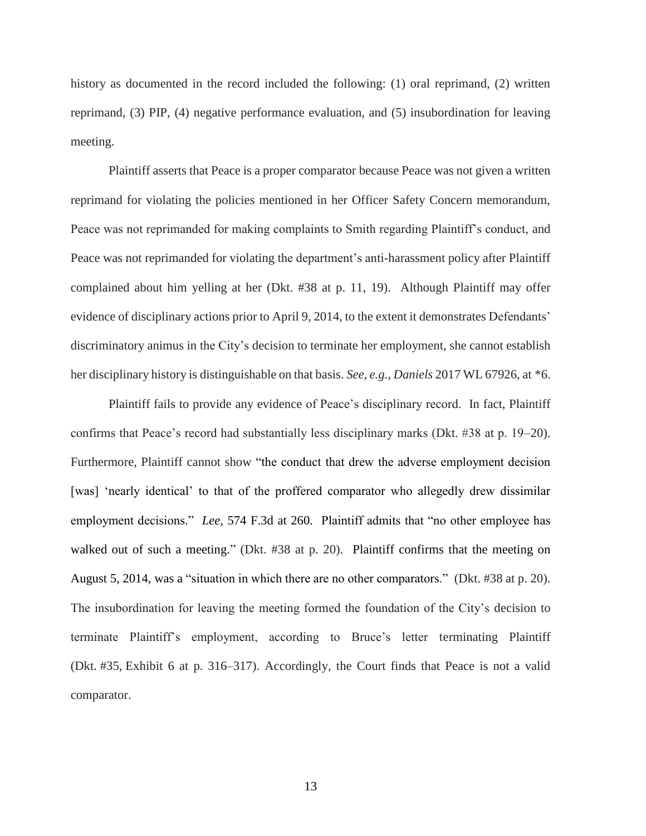history as documented in the record included the following: (1) oral reprimand, (2) written reprimand, (3) PIP, (4) negative performance evaluation, and (5) insubordination for leaving meeting.

Plaintiff asserts that Peace is a proper comparator because Peace was not given a written reprimand for violating the policies mentioned in her Officer Safety Concern memorandum, Peace was not reprimanded for making complaints to Smith regarding Plaintiff's conduct, and Peace was not reprimanded for violating the department's anti-harassment policy after Plaintiff complained about him yelling at her (Dkt. #38 at p. 11, 19). Although Plaintiff may offer evidence of disciplinary actions prior to April 9, 2014, to the extent it demonstrates Defendants' discriminatory animus in the City's decision to terminate her employment, she cannot establish her disciplinary history is distinguishable on that basis. *See, e.g.*, *Daniels* 2017 WL 67926, at \*6.

Plaintiff fails to provide any evidence of Peace's disciplinary record. In fact, Plaintiff confirms that Peace's record had substantially less disciplinary marks (Dkt. #38 at p. 19–20). Furthermore, Plaintiff cannot show "the conduct that drew the adverse employment decision [was] 'nearly identical' to that of the proffered comparator who allegedly drew dissimilar employment decisions." *Lee,* 574 F.3d at 260. Plaintiff admits that "no other employee has walked out of such a meeting." (Dkt. #38 at p. 20). Plaintiff confirms that the meeting on August 5, 2014, was a "situation in which there are no other comparators." (Dkt. #38 at p. 20). The insubordination for leaving the meeting formed the foundation of the City's decision to terminate Plaintiff's employment, according to Bruce's letter terminating Plaintiff (Dkt. #35, Exhibit 6 at p. 316–317). Accordingly, the Court finds that Peace is not a valid comparator.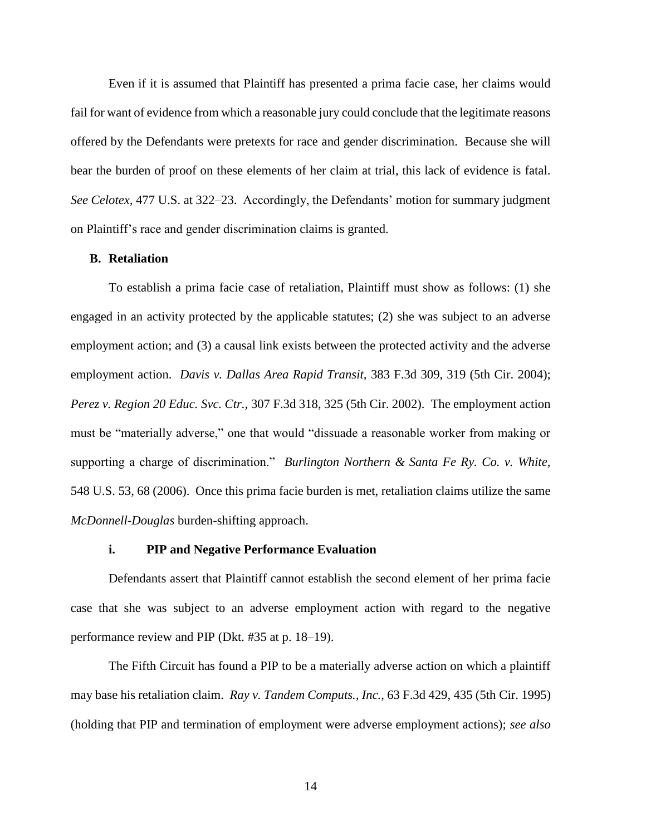Even if it is assumed that Plaintiff has presented a prima facie case, her claims would fail for want of evidence from which a reasonable jury could conclude that the legitimate reasons offered by the Defendants were pretexts for race and gender discrimination. Because she will bear the burden of proof on these elements of her claim at trial, this lack of evidence is fatal. *See Celotex,* 477 U.S. at 322–23. Accordingly, the Defendants' motion for summary judgment on Plaintiff's race and gender discrimination claims is granted.

## **B. Retaliation**

To establish a prima facie case of retaliation, Plaintiff must show as follows: (1) she engaged in an activity protected by the applicable statutes; (2) she was subject to an adverse employment action; and (3) a causal link exists between the protected activity and the adverse employment action. *Davis v. Dallas Area Rapid Transit,* 383 F.3d 309, 319 (5th Cir. 2004); *Perez v. Region 20 Educ. Svc. Ctr.,* 307 F.3d 318, 325 (5th Cir. 2002). The employment action must be "materially adverse," one that would "dissuade a reasonable worker from making or supporting a charge of discrimination." *Burlington Northern & Santa Fe Ry. Co. v. White,* 548 U.S. 53, 68 (2006). Once this prima facie burden is met, retaliation claims utilize the same *McDonnell-Douglas* burden-shifting approach.

### **i. PIP and Negative Performance Evaluation**

Defendants assert that Plaintiff cannot establish the second element of her prima facie case that she was subject to an adverse employment action with regard to the negative performance review and PIP (Dkt. #35 at p. 18–19).

The Fifth Circuit has found a PIP to be a materially adverse action on which a plaintiff may base his retaliation claim. *Ray v. Tandem Computs., Inc.*, 63 F.3d 429, 435 (5th Cir. 1995) (holding that PIP and termination of employment were adverse employment actions); *see also*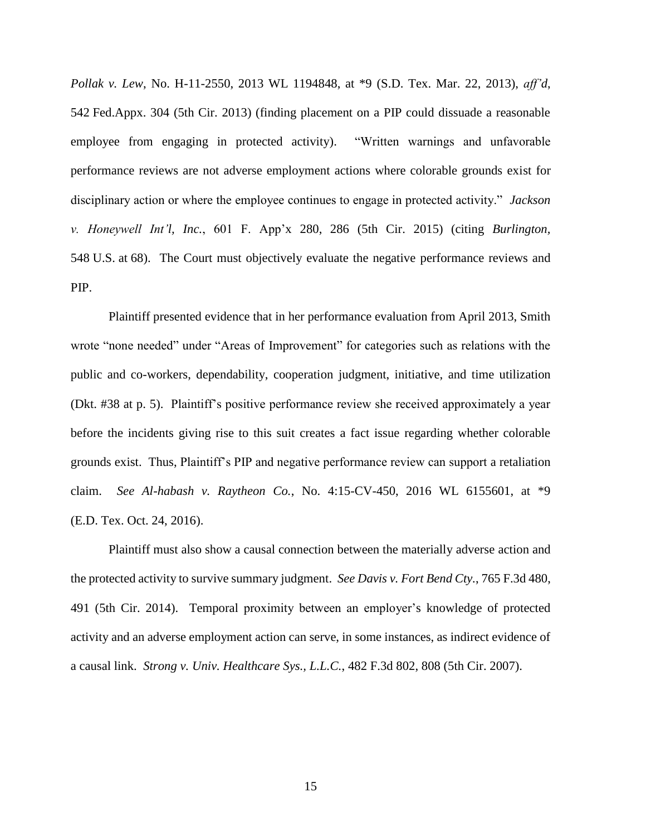*Pollak v. Lew*, No. H-11-2550, 2013 WL 1194848, at \*9 (S.D. Tex. Mar. 22, 2013), *aff'd*, 542 Fed.Appx. 304 (5th Cir. 2013) (finding placement on a PIP could dissuade a reasonable employee from engaging in protected activity). "Written warnings and unfavorable performance reviews are not adverse employment actions where colorable grounds exist for disciplinary action or where the employee continues to engage in protected activity." *Jackson v. Honeywell Int'l, Inc.*, 601 F. App'x 280, 286 (5th Cir. 2015) (citing *Burlington,*  548 U.S. at 68). The Court must objectively evaluate the negative performance reviews and PIP.

Plaintiff presented evidence that in her performance evaluation from April 2013, Smith wrote "none needed" under "Areas of Improvement" for categories such as relations with the public and co-workers, dependability, cooperation judgment, initiative, and time utilization (Dkt. #38 at p. 5). Plaintiff's positive performance review she received approximately a year before the incidents giving rise to this suit creates a fact issue regarding whether colorable grounds exist. Thus, Plaintiff's PIP and negative performance review can support a retaliation claim. *See Al-habash v. Raytheon Co.*, No. 4:15-CV-450, 2016 WL 6155601, at \*9 (E.D. Tex. Oct. 24, 2016).

Plaintiff must also show a causal connection between the materially adverse action and the protected activity to survive summary judgment. *See Davis v. Fort Bend Cty.*, 765 F.3d 480, 491 (5th Cir. 2014). Temporal proximity between an employer's knowledge of protected activity and an adverse employment action can serve, in some instances, as indirect evidence of a causal link. *Strong v. Univ. Healthcare Sys., L.L.C.*, 482 F.3d 802, 808 (5th Cir. 2007).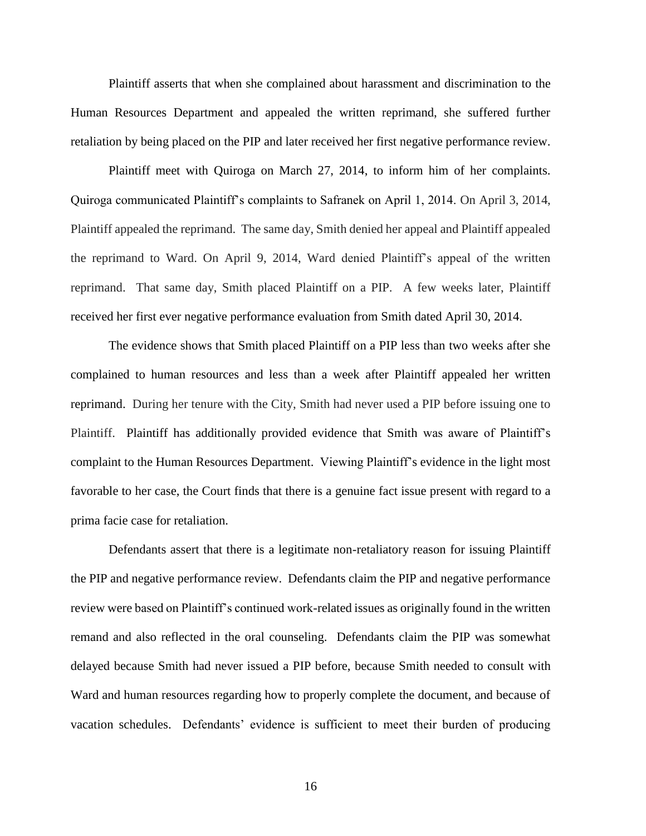Plaintiff asserts that when she complained about harassment and discrimination to the Human Resources Department and appealed the written reprimand, she suffered further retaliation by being placed on the PIP and later received her first negative performance review.

Plaintiff meet with Quiroga on March 27, 2014, to inform him of her complaints. Quiroga communicated Plaintiff's complaints to Safranek on April 1, 2014. On April 3, 2014, Plaintiff appealed the reprimand. The same day, Smith denied her appeal and Plaintiff appealed the reprimand to Ward. On April 9, 2014, Ward denied Plaintiff's appeal of the written reprimand. That same day, Smith placed Plaintiff on a PIP. A few weeks later, Plaintiff received her first ever negative performance evaluation from Smith dated April 30, 2014.

The evidence shows that Smith placed Plaintiff on a PIP less than two weeks after she complained to human resources and less than a week after Plaintiff appealed her written reprimand. During her tenure with the City, Smith had never used a PIP before issuing one to Plaintiff. Plaintiff has additionally provided evidence that Smith was aware of Plaintiff's complaint to the Human Resources Department. Viewing Plaintiff's evidence in the light most favorable to her case, the Court finds that there is a genuine fact issue present with regard to a prima facie case for retaliation.

Defendants assert that there is a legitimate non-retaliatory reason for issuing Plaintiff the PIP and negative performance review. Defendants claim the PIP and negative performance review were based on Plaintiff's continued work-related issues as originally found in the written remand and also reflected in the oral counseling. Defendants claim the PIP was somewhat delayed because Smith had never issued a PIP before, because Smith needed to consult with Ward and human resources regarding how to properly complete the document, and because of vacation schedules. Defendants' evidence is sufficient to meet their burden of producing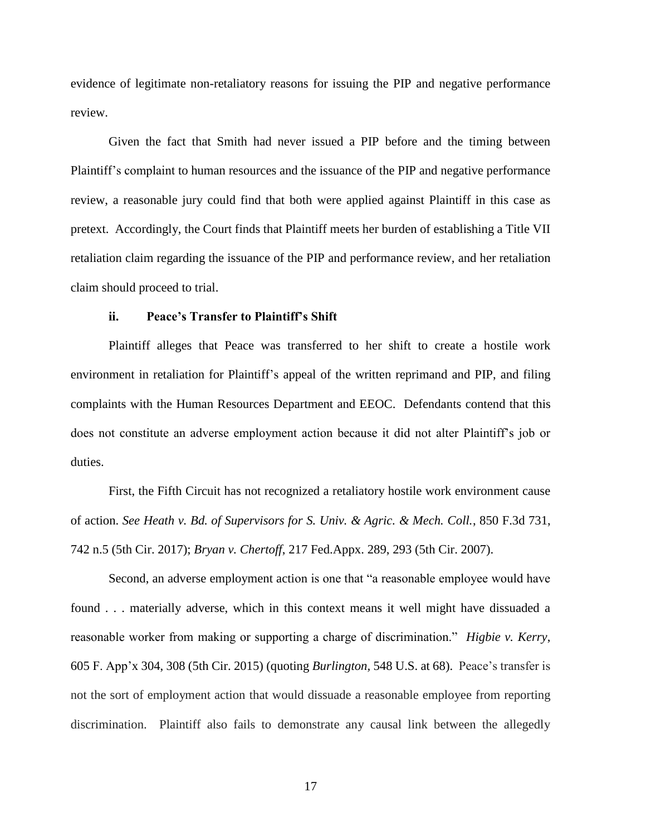evidence of legitimate non-retaliatory reasons for issuing the PIP and negative performance review.

Given the fact that Smith had never issued a PIP before and the timing between Plaintiff's complaint to human resources and the issuance of the PIP and negative performance review, a reasonable jury could find that both were applied against Plaintiff in this case as pretext. Accordingly, the Court finds that Plaintiff meets her burden of establishing a Title VII retaliation claim regarding the issuance of the PIP and performance review, and her retaliation claim should proceed to trial.

#### **ii. Peace's Transfer to Plaintiff's Shift**

Plaintiff alleges that Peace was transferred to her shift to create a hostile work environment in retaliation for Plaintiff's appeal of the written reprimand and PIP, and filing complaints with the Human Resources Department and EEOC. Defendants contend that this does not constitute an adverse employment action because it did not alter Plaintiff's job or duties.

First, the Fifth Circuit has not recognized a retaliatory hostile work environment cause of action. *See Heath v. Bd. of Supervisors for S. Univ. & Agric. & Mech. Coll.*, 850 F.3d 731, 742 n.5 (5th Cir. 2017); *Bryan v. Chertoff*, 217 Fed.Appx. 289, 293 (5th Cir. 2007).

Second, an adverse employment action is one that "a reasonable employee would have found . . . materially adverse, which in this context means it well might have dissuaded a reasonable worker from making or supporting a charge of discrimination." *Higbie v. Kerry*, 605 F. App'x 304, 308 (5th Cir. 2015) (quoting *Burlington,* 548 U.S. at 68). Peace's transfer is not the sort of employment action that would dissuade a reasonable employee from reporting discrimination. Plaintiff also fails to demonstrate any causal link between the allegedly

17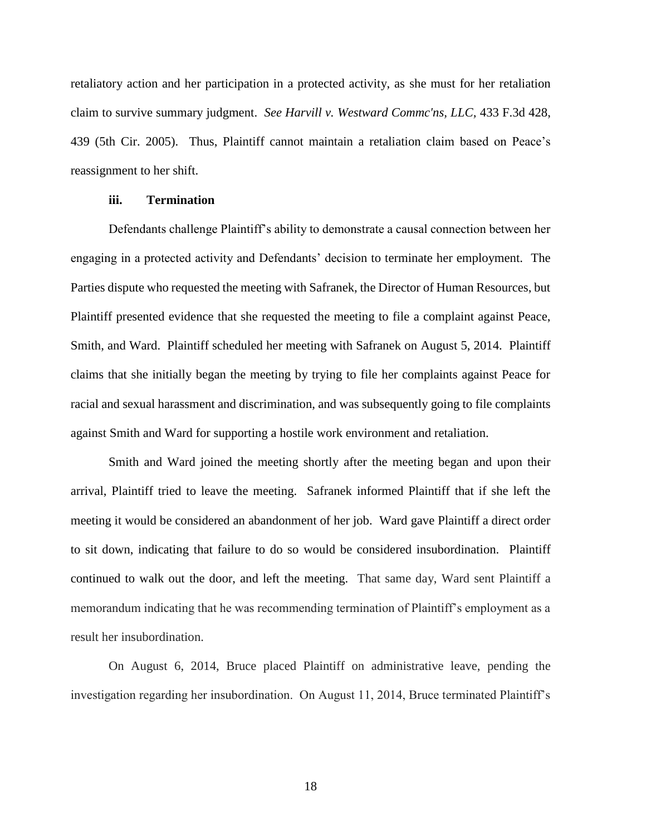retaliatory action and her participation in a protected activity, as she must for her retaliation claim to survive summary judgment. *See Harvill v. Westward Commc'ns, LLC,* 433 F.3d 428, 439 (5th Cir. 2005). Thus, Plaintiff cannot maintain a retaliation claim based on Peace's reassignment to her shift.

## **iii. Termination**

Defendants challenge Plaintiff's ability to demonstrate a causal connection between her engaging in a protected activity and Defendants' decision to terminate her employment. The Parties dispute who requested the meeting with Safranek, the Director of Human Resources, but Plaintiff presented evidence that she requested the meeting to file a complaint against Peace, Smith, and Ward. Plaintiff scheduled her meeting with Safranek on August 5, 2014. Plaintiff claims that she initially began the meeting by trying to file her complaints against Peace for racial and sexual harassment and discrimination, and was subsequently going to file complaints against Smith and Ward for supporting a hostile work environment and retaliation.

Smith and Ward joined the meeting shortly after the meeting began and upon their arrival, Plaintiff tried to leave the meeting. Safranek informed Plaintiff that if she left the meeting it would be considered an abandonment of her job. Ward gave Plaintiff a direct order to sit down, indicating that failure to do so would be considered insubordination. Plaintiff continued to walk out the door, and left the meeting. That same day, Ward sent Plaintiff a memorandum indicating that he was recommending termination of Plaintiff's employment as a result her insubordination.

On August 6, 2014, Bruce placed Plaintiff on administrative leave, pending the investigation regarding her insubordination. On August 11, 2014, Bruce terminated Plaintiff's

18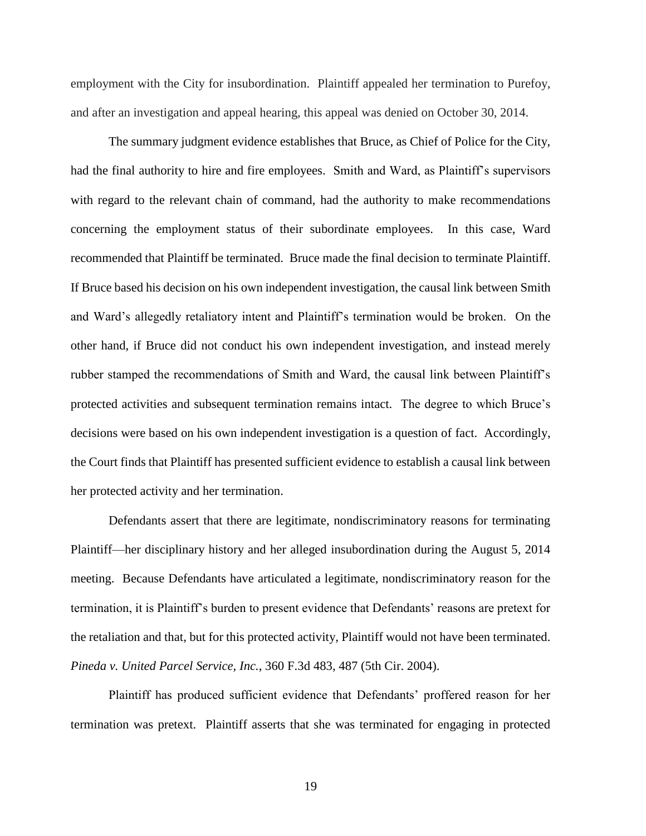employment with the City for insubordination. Plaintiff appealed her termination to Purefoy, and after an investigation and appeal hearing, this appeal was denied on October 30, 2014.

The summary judgment evidence establishes that Bruce, as Chief of Police for the City, had the final authority to hire and fire employees. Smith and Ward, as Plaintiff's supervisors with regard to the relevant chain of command, had the authority to make recommendations concerning the employment status of their subordinate employees. In this case, Ward recommended that Plaintiff be terminated. Bruce made the final decision to terminate Plaintiff. If Bruce based his decision on his own independent investigation, the causal link between Smith and Ward's allegedly retaliatory intent and Plaintiff's termination would be broken. On the other hand, if Bruce did not conduct his own independent investigation, and instead merely rubber stamped the recommendations of Smith and Ward, the causal link between Plaintiff's protected activities and subsequent termination remains intact. The degree to which Bruce's decisions were based on his own independent investigation is a question of fact. Accordingly, the Court finds that Plaintiff has presented sufficient evidence to establish a causal link between her protected activity and her termination.

Defendants assert that there are legitimate, nondiscriminatory reasons for terminating Plaintiff—her disciplinary history and her alleged insubordination during the August 5, 2014 meeting. Because Defendants have articulated a legitimate, nondiscriminatory reason for the termination, it is Plaintiff's burden to present evidence that Defendants' reasons are pretext for the retaliation and that, but for this protected activity, Plaintiff would not have been terminated. *Pineda v. United Parcel Service, Inc.*, 360 F.3d 483, 487 (5th Cir. 2004).

Plaintiff has produced sufficient evidence that Defendants' proffered reason for her termination was pretext. Plaintiff asserts that she was terminated for engaging in protected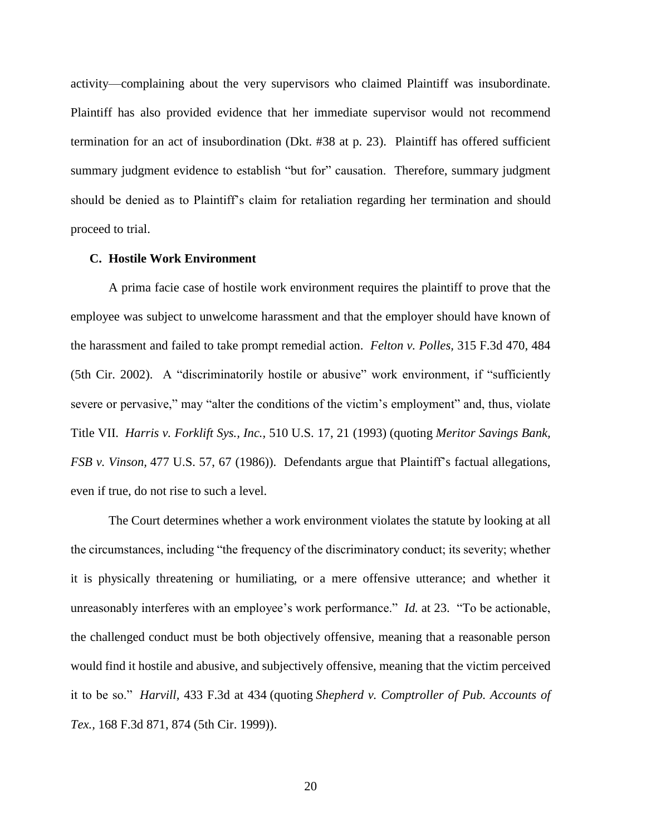activity—complaining about the very supervisors who claimed Plaintiff was insubordinate. Plaintiff has also provided evidence that her immediate supervisor would not recommend termination for an act of insubordination (Dkt. #38 at p. 23). Plaintiff has offered sufficient summary judgment evidence to establish "but for" causation. Therefore, summary judgment should be denied as to Plaintiff's claim for retaliation regarding her termination and should proceed to trial.

#### **C. Hostile Work Environment**

A prima facie case of hostile work environment requires the plaintiff to prove that the employee was subject to unwelcome harassment and that the employer should have known of the harassment and failed to take prompt remedial action. *Felton v. Polles,* 315 F.3d 470, 484 (5th Cir. 2002). A "discriminatorily hostile or abusive" work environment, if "sufficiently severe or pervasive," may "alter the conditions of the victim's employment" and, thus, violate Title VII. *Harris v. Forklift Sys., Inc.,* 510 U.S. 17, 21 (1993) (quoting *Meritor Savings Bank, FSB v. Vinson,* 477 U.S. 57, 67 (1986)). Defendants argue that Plaintiff's factual allegations, even if true, do not rise to such a level.

The Court determines whether a work environment violates the statute by looking at all the circumstances, including "the frequency of the discriminatory conduct; its severity; whether it is physically threatening or humiliating, or a mere offensive utterance; and whether it unreasonably interferes with an employee's work performance." *Id.* at 23. "To be actionable, the challenged conduct must be both objectively offensive, meaning that a reasonable person would find it hostile and abusive, and subjectively offensive, meaning that the victim perceived it to be so." *Harvill,* 433 F.3d at 434 (quoting *Shepherd v. Comptroller of Pub. Accounts of Tex.,* 168 F.3d 871, 874 (5th Cir. 1999)).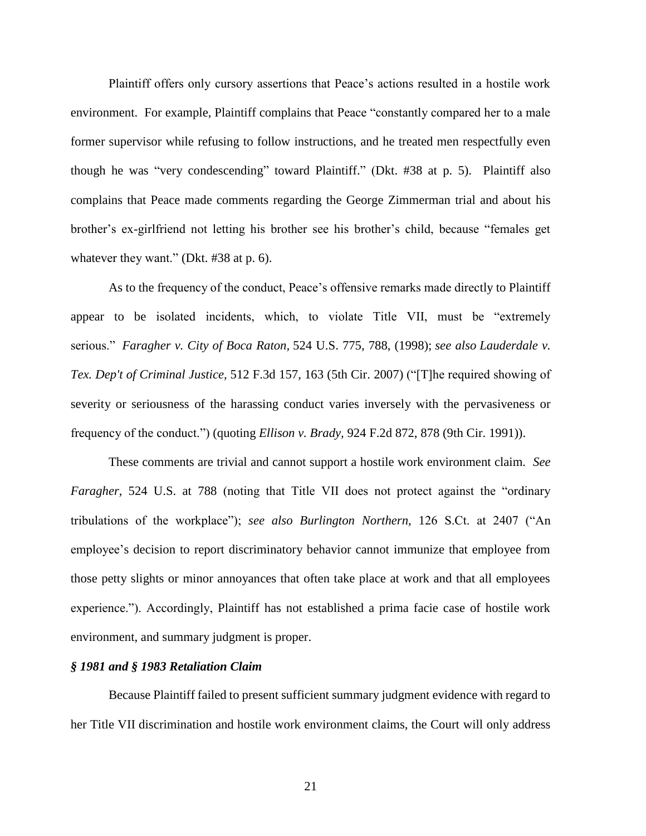Plaintiff offers only cursory assertions that Peace's actions resulted in a hostile work environment. For example, Plaintiff complains that Peace "constantly compared her to a male former supervisor while refusing to follow instructions, and he treated men respectfully even though he was "very condescending" toward Plaintiff." (Dkt. #38 at p. 5). Plaintiff also complains that Peace made comments regarding the George Zimmerman trial and about his brother's ex-girlfriend not letting his brother see his brother's child, because "females get whatever they want." (Dkt. #38 at p. 6).

As to the frequency of the conduct, Peace's offensive remarks made directly to Plaintiff appear to be isolated incidents, which, to violate Title VII, must be "extremely serious." *Faragher v. City of Boca Raton,* 524 U.S. 775, 788, (1998); *see also Lauderdale v. Tex. Dep't of Criminal Justice,* 512 F.3d 157, 163 (5th Cir. 2007) ("[T]he required showing of severity or seriousness of the harassing conduct varies inversely with the pervasiveness or frequency of the conduct.") (quoting *Ellison v. Brady,* 924 F.2d 872, 878 (9th Cir. 1991)).

These comments are trivial and cannot support a hostile work environment claim. *See Faragher,* 524 U.S. at 788 (noting that Title VII does not protect against the "ordinary tribulations of the workplace"); *see also Burlington Northern,* 126 S.Ct. at 2407 ("An employee's decision to report discriminatory behavior cannot immunize that employee from those petty slights or minor annoyances that often take place at work and that all employees experience."). Accordingly, Plaintiff has not established a prima facie case of hostile work environment, and summary judgment is proper.

## *§ 1981 and § 1983 Retaliation Claim*

Because Plaintiff failed to present sufficient summary judgment evidence with regard to her Title VII discrimination and hostile work environment claims, the Court will only address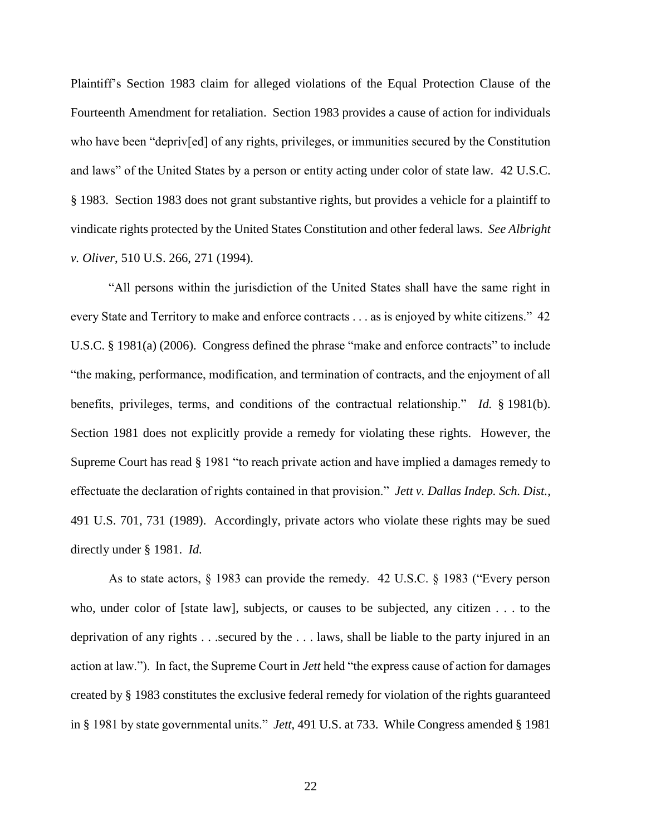Plaintiff's Section 1983 claim for alleged violations of the Equal Protection Clause of the Fourteenth Amendment for retaliation. Section 1983 provides a cause of action for individuals who have been "depriv[ed] of any rights, privileges, or immunities secured by the Constitution and laws" of the United States by a person or entity acting under color of state law. 42 U.S.C. § 1983. Section 1983 does not grant substantive rights, but provides a vehicle for a plaintiff to vindicate rights protected by the United States Constitution and other federal laws. *See Albright v. Oliver*, 510 U.S. 266, 271 (1994).

"All persons within the jurisdiction of the United States shall have the same right in every State and Territory to make and enforce contracts . . . as is enjoyed by white citizens." 42 U.S.C. § 1981(a) (2006). Congress defined the phrase "make and enforce contracts" to include "the making, performance, modification, and termination of contracts, and the enjoyment of all benefits, privileges, terms, and conditions of the contractual relationship." *Id.* § 1981(b). Section 1981 does not explicitly provide a remedy for violating these rights. However, the Supreme Court has read § 1981 "to reach private action and have implied a damages remedy to effectuate the declaration of rights contained in that provision." *Jett v. Dallas Indep. Sch. Dist.*, 491 U.S. 701, 731 (1989). Accordingly, private actors who violate these rights may be sued directly under § 1981. *Id.*

As to state actors, § 1983 can provide the remedy. 42 U.S.C. § 1983 ("Every person who, under color of [state law], subjects, or causes to be subjected, any citizen . . . to the deprivation of any rights . . .secured by the . . . laws, shall be liable to the party injured in an action at law."). In fact, the Supreme Court in *Jett* held "the express cause of action for damages created by § 1983 constitutes the exclusive federal remedy for violation of the rights guaranteed in § 1981 by state governmental units." *Jett*, 491 U.S. at 733. While Congress amended § 1981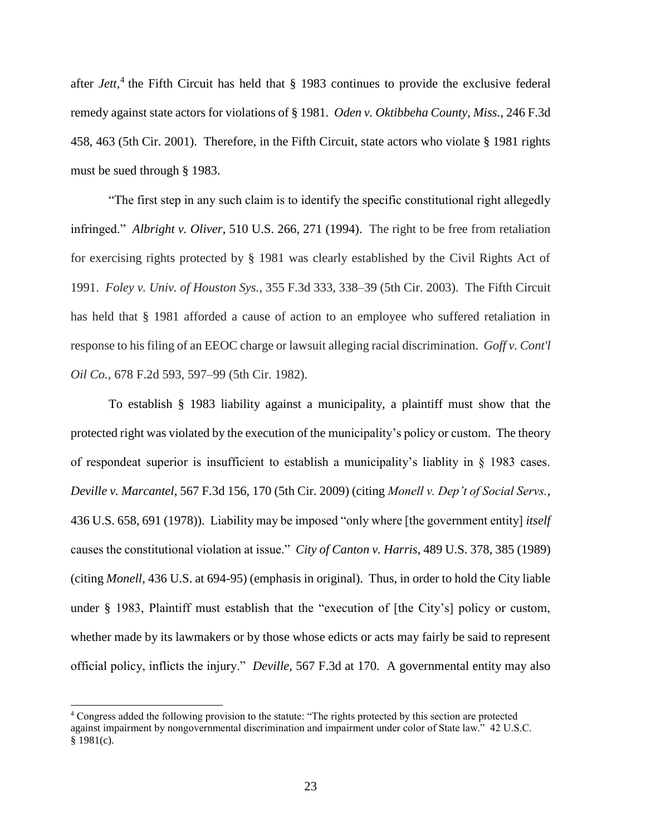after *Jett*,<sup>4</sup> the Fifth Circuit has held that § 1983 continues to provide the exclusive federal remedy against state actors for violations of § 1981. *Oden v. Oktibbeha County, Miss.*, 246 F.3d 458, 463 (5th Cir. 2001). Therefore, in the Fifth Circuit, state actors who violate § 1981 rights must be sued through § 1983.

"The first step in any such claim is to identify the specific constitutional right allegedly infringed." *Albright v. Oliver*, 510 U.S. 266, 271 (1994). The right to be free from retaliation for exercising rights protected by § 1981 was clearly established by the Civil Rights Act of 1991. *Foley v. Univ. of Houston Sys.*, 355 F.3d 333, 338–39 (5th Cir. 2003). The Fifth Circuit has held that § 1981 afforded a cause of action to an employee who suffered retaliation in response to his filing of an EEOC charge or lawsuit alleging racial discrimination. *Goff v. Cont'l Oil Co.*, 678 F.2d 593, 597–99 (5th Cir. 1982).

To establish § 1983 liability against a municipality, a plaintiff must show that the protected right was violated by the execution of the municipality's policy or custom. The theory of respondeat superior is insufficient to establish a municipality's liablity in § 1983 cases. *Deville v. Marcantel*, 567 F.3d 156, 170 (5th Cir. 2009) (citing *Monell v. Dep't of Social Servs.*, 436 U.S. 658, 691 (1978)). Liability may be imposed "only where [the government entity] *itself* causes the constitutional violation at issue." *City of Canton v. Harris*, 489 U.S. 378, 385 (1989) (citing *Monell*, 436 U.S. at 694-95) (emphasis in original). Thus, in order to hold the City liable under § 1983, Plaintiff must establish that the "execution of [the City's] policy or custom, whether made by its lawmakers or by those whose edicts or acts may fairly be said to represent official policy, inflicts the injury." *Deville,* 567 F.3d at 170. A governmental entity may also

l

<sup>4</sup> Congress added the following provision to the statute: "The rights protected by this section are protected against impairment by nongovernmental discrimination and impairment under color of State law." 42 U.S.C. § 1981(c).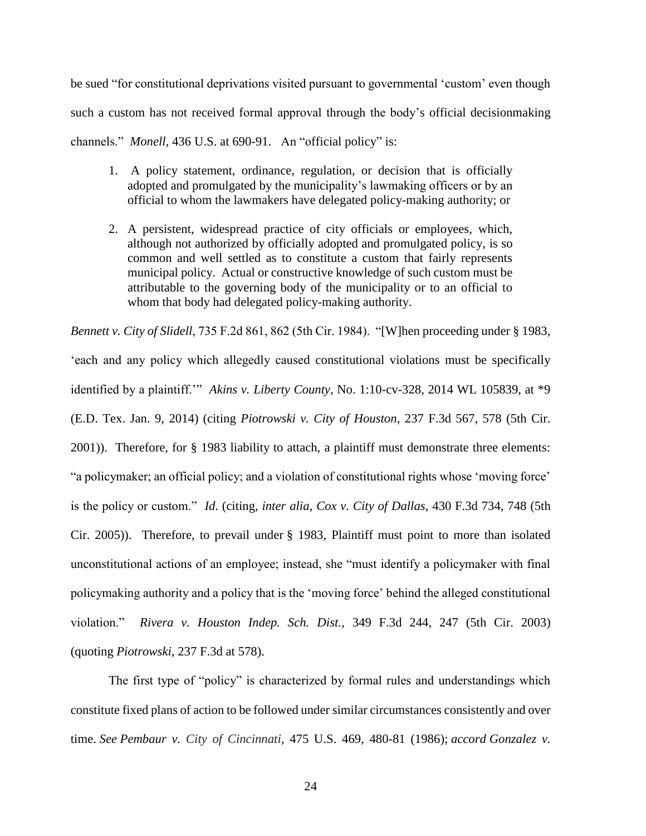be sued "for constitutional deprivations visited pursuant to governmental 'custom' even though such a custom has not received formal approval through the body's official decisionmaking channels." *Monell*, 436 U.S. at 690-91. An "official policy" is:

- 1. A policy statement, ordinance, regulation, or decision that is officially adopted and promulgated by the municipality's lawmaking officers or by an official to whom the lawmakers have delegated policy-making authority; or
- 2. A persistent, widespread practice of city officials or employees, which, although not authorized by officially adopted and promulgated policy, is so common and well settled as to constitute a custom that fairly represents municipal policy. Actual or constructive knowledge of such custom must be attributable to the governing body of the municipality or to an official to whom that body had delegated policy-making authority.

*Bennett v. City of Slidell*, 735 F.2d 861, 862 (5th Cir. 1984). "[W]hen proceeding under § 1983, 'each and any policy which allegedly caused constitutional violations must be specifically identified by a plaintiff.'" *Akins v. Liberty County*, No. 1:10-cv-328, 2014 WL 105839, at \*9 (E.D. Tex. Jan. 9, 2014) (citing *Piotrowski v. City of Houston*, 237 F.3d 567, 578 (5th Cir. 2001)). Therefore, for § 1983 liability to attach, a plaintiff must demonstrate three elements: "a policymaker; an official policy; and a violation of constitutional rights whose 'moving force' is the policy or custom." *Id*. (citing, *inter alia*, *Cox v. City of Dallas*, 430 F.3d 734, 748 (5th Cir. 2005)). Therefore, to prevail under § 1983, Plaintiff must point to more than isolated unconstitutional actions of an employee; instead, she "must identify a policymaker with final policymaking authority and a policy that is the 'moving force' behind the alleged constitutional violation." *Rivera v. Houston Indep. Sch. Dist.*, 349 F.3d 244, 247 (5th Cir. 2003) (quoting *Piotrowski*, 237 F.3d at 578).

The first type of "policy" is characterized by formal rules and understandings which constitute fixed plans of action to be followed under similar circumstances consistently and over time. *See Pembaur v. City of Cincinnati*, 475 U.S. 469, 480-81 (1986); *accord Gonzalez v.*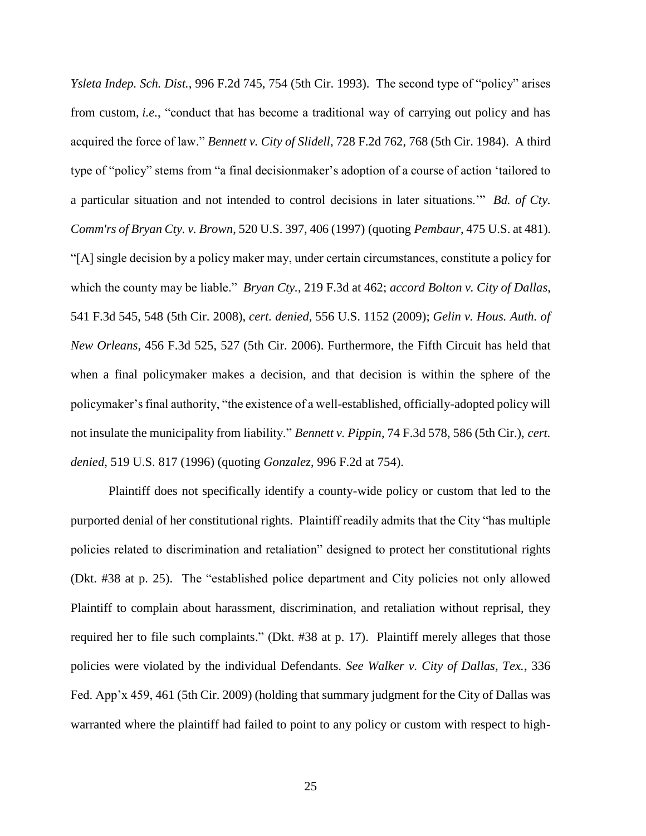*Ysleta Indep. Sch. Dist.*, 996 F.2d 745, 754 (5th Cir. 1993). The second type of "policy" arises from custom, *i.e.*, "conduct that has become a traditional way of carrying out policy and has acquired the force of law." *Bennett v. City of Slidell*, 728 F.2d 762, 768 (5th Cir. 1984). A third type of "policy" stems from "a final decisionmaker's adoption of a course of action 'tailored to a particular situation and not intended to control decisions in later situations.'" *Bd. of Cty. Comm'rs of Bryan Cty. v. Brown*, 520 U.S. 397, 406 (1997) (quoting *Pembaur*, 475 U.S. at 481). "[A] single decision by a policy maker may, under certain circumstances, constitute a policy for which the county may be liable." *Bryan Cty.*, 219 F.3d at 462; *accord Bolton v. City of Dallas*, 541 F.3d 545, 548 (5th Cir. 2008), *cert. denied*, 556 U.S. 1152 (2009); *Gelin v. Hous. Auth. of New Orleans*, 456 F.3d 525, 527 (5th Cir. 2006). Furthermore, the Fifth Circuit has held that when a final policymaker makes a decision, and that decision is within the sphere of the policymaker's final authority, "the existence of a well-established, officially-adopted policy will not insulate the municipality from liability." *Bennett v. Pippin*, 74 F.3d 578, 586 (5th Cir.), *cert. denied*, 519 U.S. 817 (1996) (quoting *Gonzalez*, 996 F.2d at 754).

Plaintiff does not specifically identify a county-wide policy or custom that led to the purported denial of her constitutional rights. Plaintiff readily admits that the City "has multiple policies related to discrimination and retaliation" designed to protect her constitutional rights (Dkt. #38 at p. 25). The "established police department and City policies not only allowed Plaintiff to complain about harassment, discrimination, and retaliation without reprisal, they required her to file such complaints." (Dkt. #38 at p. 17). Plaintiff merely alleges that those policies were violated by the individual Defendants. *See Walker v. City of Dallas, Tex.*, 336 Fed. App'x 459, 461 (5th Cir. 2009) (holding that summary judgment for the City of Dallas was warranted where the plaintiff had failed to point to any policy or custom with respect to high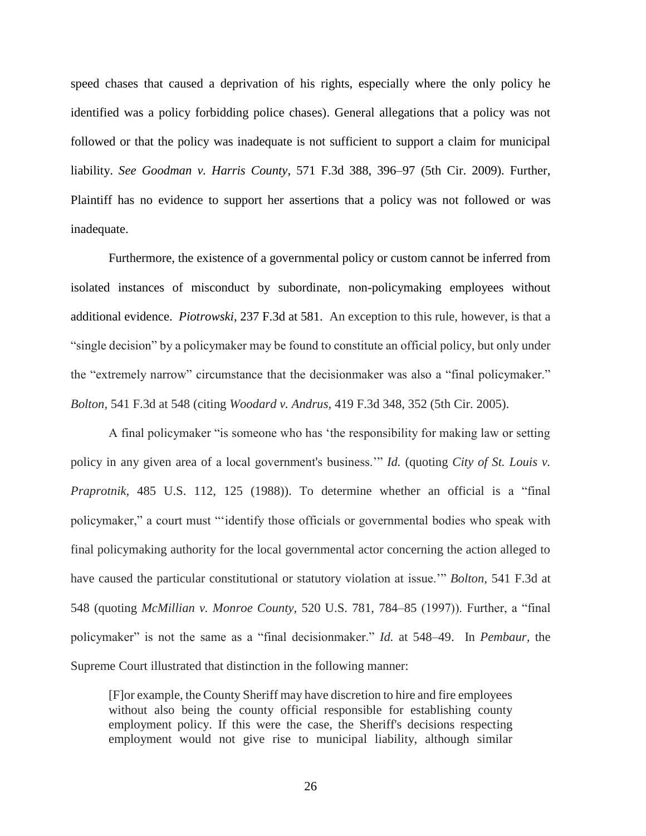speed chases that caused a deprivation of his rights, especially where the only policy he identified was a policy forbidding police chases). General allegations that a policy was not followed or that the policy was inadequate is not sufficient to support a claim for municipal liability. *See Goodman v. Harris County*, 571 F.3d 388, 396–97 (5th Cir. 2009). Further, Plaintiff has no evidence to support her assertions that a policy was not followed or was inadequate.

Furthermore, the existence of a governmental policy or custom cannot be inferred from isolated instances of misconduct by subordinate, non-policymaking employees without additional evidence. *Piotrowski*, 237 F.3d at 581. An exception to this rule, however, is that a "single decision" by a policymaker may be found to constitute an official policy, but only under the "extremely narrow" circumstance that the decisionmaker was also a "final policymaker." *Bolton,* 541 F.3d at 548 (citing *Woodard v. Andrus,* 419 F.3d 348, 352 (5th Cir. 2005).

A final policymaker "is someone who has 'the responsibility for making law or setting policy in any given area of a local government's business.'" *Id.* (quoting *City of St. Louis v. Praprotnik,* 485 U.S. 112, 125 (1988)). To determine whether an official is a "final policymaker," a court must "'identify those officials or governmental bodies who speak with final policymaking authority for the local governmental actor concerning the action alleged to have caused the particular constitutional or statutory violation at issue.'" *Bolton,* 541 F.3d at 548 (quoting *McMillian v. Monroe County,* 520 U.S. 781, 784–85 (1997)). Further, a "final policymaker" is not the same as a "final decisionmaker." *Id.* at 548–49. In *Pembaur,* the Supreme Court illustrated that distinction in the following manner:

[F]or example, the County Sheriff may have discretion to hire and fire employees without also being the county official responsible for establishing county employment policy. If this were the case, the Sheriff's decisions respecting employment would not give rise to municipal liability, although similar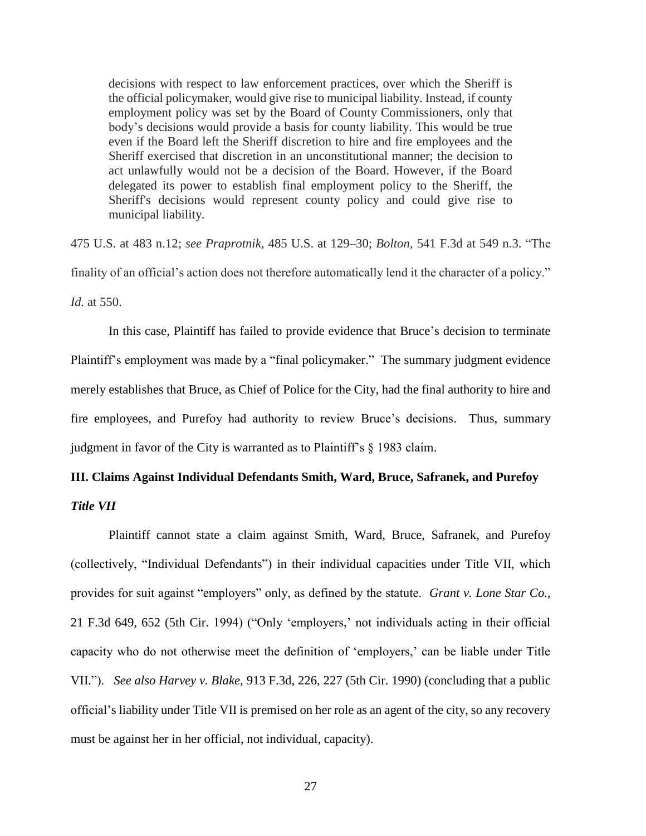decisions with respect to law enforcement practices, over which the Sheriff is the official policymaker, would give rise to municipal liability. Instead, if county employment policy was set by the Board of County Commissioners, only that body's decisions would provide a basis for county liability. This would be true even if the Board left the Sheriff discretion to hire and fire employees and the Sheriff exercised that discretion in an unconstitutional manner; the decision to act unlawfully would not be a decision of the Board. However, if the Board delegated its power to establish final employment policy to the Sheriff, the Sheriff's decisions would represent county policy and could give rise to municipal liability.

475 U.S. at 483 n.12; *see Praprotnik,* 485 U.S. at 129–30; *Bolton,* 541 F.3d at 549 n.3. "The finality of an official's action does not therefore automatically lend it the character of a policy." *Id.* at 550.

In this case, Plaintiff has failed to provide evidence that Bruce's decision to terminate Plaintiff's employment was made by a "final policymaker." The summary judgment evidence merely establishes that Bruce, as Chief of Police for the City, had the final authority to hire and fire employees, and Purefoy had authority to review Bruce's decisions. Thus, summary judgment in favor of the City is warranted as to Plaintiff's § 1983 claim.

# **III. Claims Against Individual Defendants Smith, Ward, Bruce, Safranek, and Purefoy**

*Title VII*

Plaintiff cannot state a claim against Smith, Ward, Bruce, Safranek, and Purefoy (collectively, "Individual Defendants") in their individual capacities under Title VII, which provides for suit against "employers" only, as defined by the statute. *Grant v. Lone Star Co.,* 21 F.3d 649, 652 (5th Cir. 1994) ("Only 'employers,' not individuals acting in their official capacity who do not otherwise meet the definition of 'employers,' can be liable under Title VII."). *See also Harvey v. Blake,* 913 F.3d, 226, 227 (5th Cir. 1990) (concluding that a public official's liability under Title VII is premised on her role as an agent of the city, so any recovery must be against her in her official, not individual, capacity).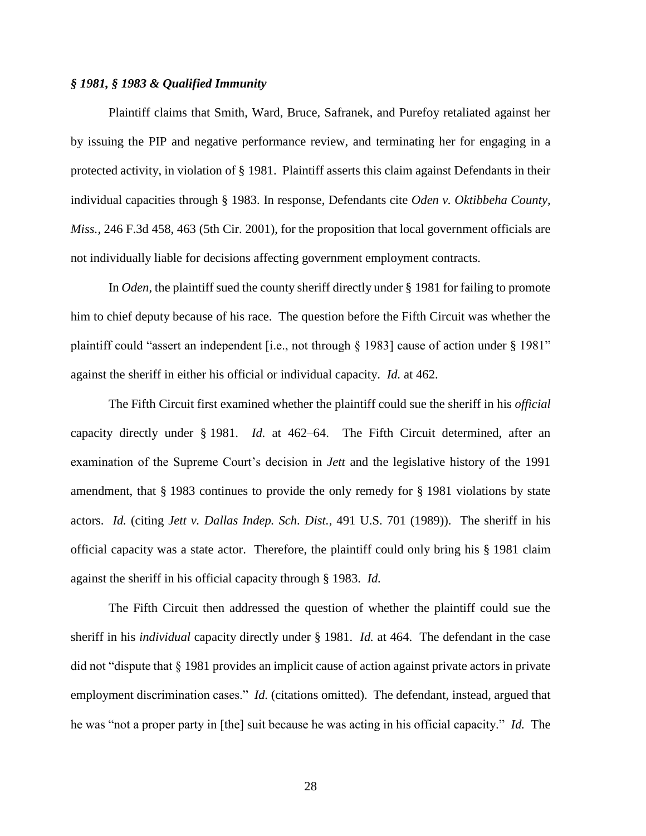## *§ 1981, § 1983 & Qualified Immunity*

Plaintiff claims that Smith, Ward, Bruce, Safranek, and Purefoy retaliated against her by issuing the PIP and negative performance review, and terminating her for engaging in a protected activity, in violation of § 1981. Plaintiff asserts this claim against Defendants in their individual capacities through § 1983. In response, Defendants cite *Oden v. Oktibbeha County, Miss.,* 246 F.3d 458, 463 (5th Cir. 2001), for the proposition that local government officials are not individually liable for decisions affecting government employment contracts.

In *Oden*, the plaintiff sued the county sheriff directly under § 1981 for failing to promote him to chief deputy because of his race. The question before the Fifth Circuit was whether the plaintiff could "assert an independent [i.e., not through § 1983] cause of action under § 1981" against the sheriff in either his official or individual capacity. *Id.* at 462.

The Fifth Circuit first examined whether the plaintiff could sue the sheriff in his *official* capacity directly under § 1981. *Id.* at 462–64. The Fifth Circuit determined, after an examination of the Supreme Court's decision in *Jett* and the legislative history of the 1991 amendment, that § 1983 continues to provide the only remedy for § 1981 violations by state actors. *Id.* (citing *Jett v. Dallas Indep. Sch. Dist.*, 491 U.S. 701 (1989)). The sheriff in his official capacity was a state actor. Therefore, the plaintiff could only bring his § 1981 claim against the sheriff in his official capacity through § 1983. *Id.*

The Fifth Circuit then addressed the question of whether the plaintiff could sue the sheriff in his *individual* capacity directly under § 1981. *Id.* at 464. The defendant in the case did not "dispute that § 1981 provides an implicit cause of action against private actors in private employment discrimination cases." *Id.* (citations omitted). The defendant, instead, argued that he was "not a proper party in [the] suit because he was acting in his official capacity." *Id.* The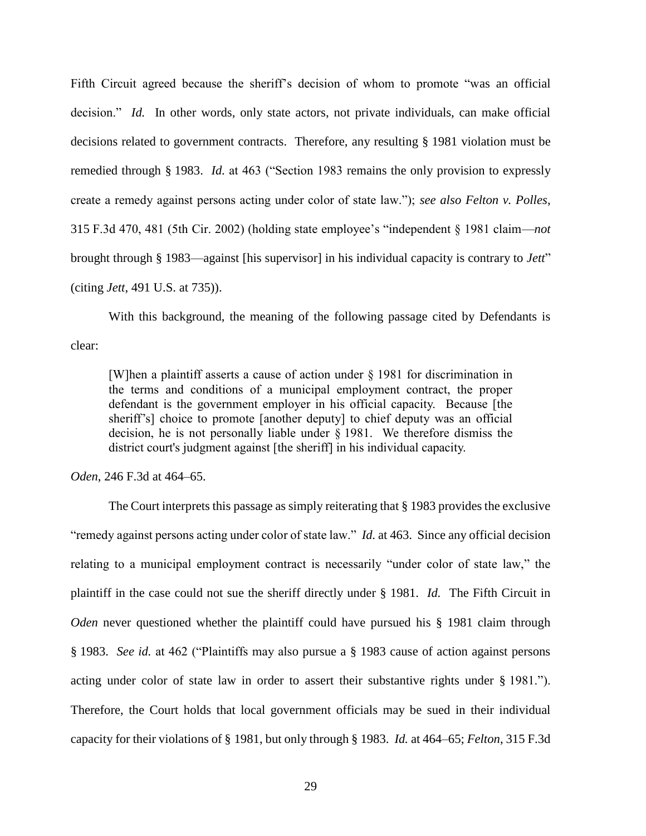Fifth Circuit agreed because the sheriff's decision of whom to promote "was an official decision." *Id.* In other words, only state actors, not private individuals, can make official decisions related to government contracts. Therefore, any resulting § 1981 violation must be remedied through § 1983. *Id.* at 463 ("Section 1983 remains the only provision to expressly create a remedy against persons acting under color of state law."); *see also Felton v. Polles*, 315 F.3d 470, 481 (5th Cir. 2002) (holding state employee's "independent § 1981 claim—*not* brought through § 1983—against [his supervisor] in his individual capacity is contrary to *Jett*" (citing *Jett*, 491 U.S. at 735)).

With this background, the meaning of the following passage cited by Defendants is clear:

[W]hen a plaintiff asserts a cause of action under § 1981 for discrimination in the terms and conditions of a municipal employment contract, the proper defendant is the government employer in his official capacity. Because [the sheriff's] choice to promote [another deputy] to chief deputy was an official decision, he is not personally liable under § 1981. We therefore dismiss the district court's judgment against [the sheriff] in his individual capacity.

*Oden*, 246 F.3d at 464–65.

The Court interprets this passage as simply reiterating that § 1983 provides the exclusive "remedy against persons acting under color of state law." *Id.* at 463. Since any official decision relating to a municipal employment contract is necessarily "under color of state law," the plaintiff in the case could not sue the sheriff directly under § 1981. *Id.* The Fifth Circuit in *Oden* never questioned whether the plaintiff could have pursued his § 1981 claim through § 1983. *See id.* at 462 ("Plaintiffs may also pursue a § 1983 cause of action against persons acting under color of state law in order to assert their substantive rights under § 1981."). Therefore, the Court holds that local government officials may be sued in their individual capacity for their violations of § 1981, but only through § 1983. *Id.* at 464–65; *Felton*, 315 F.3d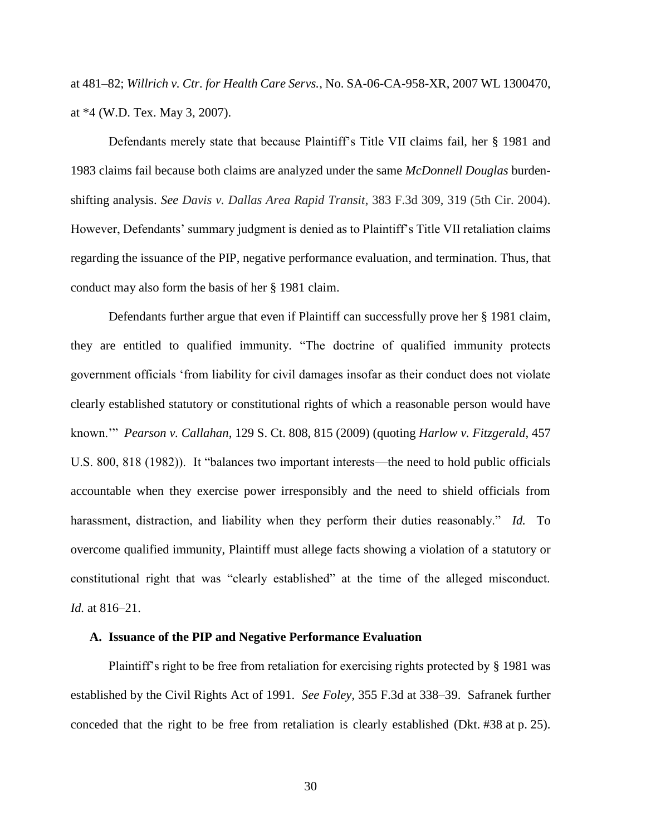at 481–82; *Willrich v. Ctr. for Health Care Servs.*, No. SA-06-CA-958-XR, 2007 WL 1300470, at \*4 (W.D. Tex. May 3, 2007).

Defendants merely state that because Plaintiff's Title VII claims fail, her § 1981 and 1983 claims fail because both claims are analyzed under the same *McDonnell Douglas* burdenshifting analysis. *See Davis v. Dallas Area Rapid Transit*, 383 F.3d 309, 319 (5th Cir. 2004). However, Defendants' summary judgment is denied as to Plaintiff's Title VII retaliation claims regarding the issuance of the PIP, negative performance evaluation, and termination. Thus, that conduct may also form the basis of her § 1981 claim.

Defendants further argue that even if Plaintiff can successfully prove her § 1981 claim, they are entitled to qualified immunity. "The doctrine of qualified immunity protects government officials 'from liability for civil damages insofar as their conduct does not violate clearly established statutory or constitutional rights of which a reasonable person would have known.'" *Pearson v. Callahan*, 129 S. Ct. 808, 815 (2009) (quoting *Harlow v. Fitzgerald*, 457 U.S. 800, 818 (1982)). It "balances two important interests—the need to hold public officials accountable when they exercise power irresponsibly and the need to shield officials from harassment, distraction, and liability when they perform their duties reasonably." *Id.* To overcome qualified immunity, Plaintiff must allege facts showing a violation of a statutory or constitutional right that was "clearly established" at the time of the alleged misconduct. *Id.* at 816–21.

## **A. Issuance of the PIP and Negative Performance Evaluation**

Plaintiff's right to be free from retaliation for exercising rights protected by § 1981 was established by the Civil Rights Act of 1991. *See Foley,* 355 F.3d at 338–39. Safranek further conceded that the right to be free from retaliation is clearly established (Dkt. #38 at p. 25).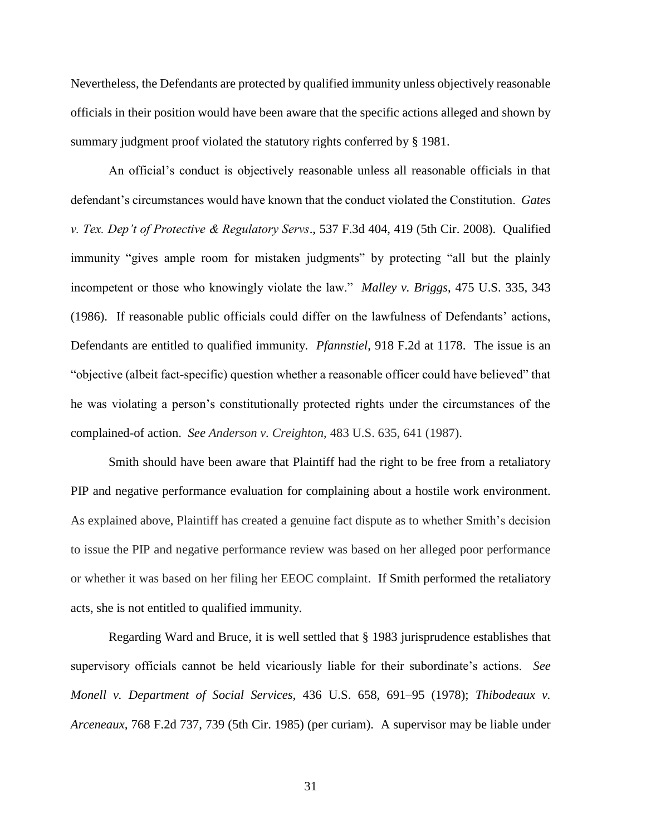Nevertheless, the Defendants are protected by qualified immunity unless objectively reasonable officials in their position would have been aware that the specific actions alleged and shown by summary judgment proof violated the statutory rights conferred by § 1981.

An official's conduct is objectively reasonable unless all reasonable officials in that defendant's circumstances would have known that the conduct violated the Constitution. *Gates v. Tex. Dep't of Protective & Regulatory Servs*., 537 F.3d 404, 419 (5th Cir. 2008). Qualified immunity "gives ample room for mistaken judgments" by protecting "all but the plainly incompetent or those who knowingly violate the law." *Malley v. Briggs*, 475 U.S. 335, 343 (1986). If reasonable public officials could differ on the lawfulness of Defendants' actions, Defendants are entitled to qualified immunity. *Pfannstiel*, 918 F.2d at 1178. The issue is an "objective (albeit fact-specific) question whether a reasonable officer could have believed" that he was violating a person's constitutionally protected rights under the circumstances of the complained-of action. *See Anderson v. Creighton*, 483 U.S. 635, 641 (1987).

Smith should have been aware that Plaintiff had the right to be free from a retaliatory PIP and negative performance evaluation for complaining about a hostile work environment. As explained above, Plaintiff has created a genuine fact dispute as to whether Smith's decision to issue the PIP and negative performance review was based on her alleged poor performance or whether it was based on her filing her EEOC complaint. If Smith performed the retaliatory acts, she is not entitled to qualified immunity.

Regarding Ward and Bruce, it is well settled that § 1983 jurisprudence establishes that supervisory officials cannot be held vicariously liable for their subordinate's actions. *See Monell v. Department of Social Services,* 436 U.S. 658, 691–95 (1978); *Thibodeaux v. Arceneaux,* 768 F.2d 737, 739 (5th Cir. 1985) (per curiam). A supervisor may be liable under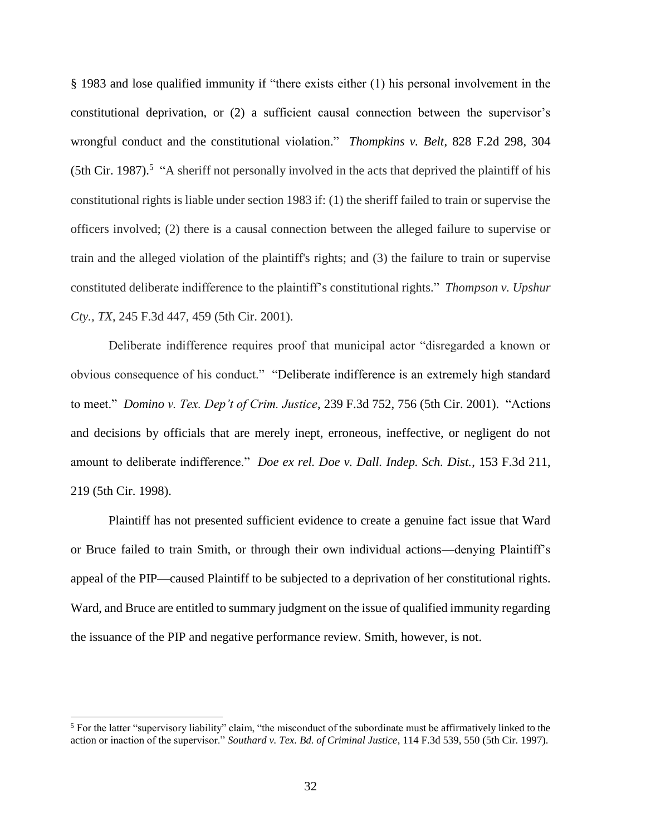§ 1983 and lose qualified immunity if "there exists either (1) his personal involvement in the constitutional deprivation, or (2) a sufficient causal connection between the supervisor's wrongful conduct and the constitutional violation." *Thompkins v. Belt*, 828 F.2d 298, 304  $(5th Cir. 1987)$ .<sup>5</sup> "A sheriff not personally involved in the acts that deprived the plaintiff of his constitutional rights is liable under section 1983 if: (1) the sheriff failed to train or supervise the officers involved; (2) there is a causal connection between the alleged failure to supervise or train and the alleged violation of the plaintiff's rights; and (3) the failure to train or supervise constituted deliberate indifference to the plaintiff's constitutional rights." *Thompson v. Upshur Cty., TX*, 245 F.3d 447, 459 (5th Cir. 2001).

Deliberate indifference requires proof that municipal actor "disregarded a known or obvious consequence of his conduct." "Deliberate indifference is an extremely high standard to meet." *Domino v. Tex. Dep't of Crim. Justice*, 239 F.3d 752, 756 (5th Cir. 2001). "Actions and decisions by officials that are merely inept, erroneous, ineffective, or negligent do not amount to deliberate indifference." *Doe ex rel. Doe v. Dall. Indep. Sch. Dist.*, 153 F.3d 211, 219 (5th Cir. 1998).

Plaintiff has not presented sufficient evidence to create a genuine fact issue that Ward or Bruce failed to train Smith, or through their own individual actions—denying Plaintiff's appeal of the PIP—caused Plaintiff to be subjected to a deprivation of her constitutional rights. Ward, and Bruce are entitled to summary judgment on the issue of qualified immunity regarding the issuance of the PIP and negative performance review. Smith, however, is not.

l

 $<sup>5</sup>$  For the latter "supervisory liability" claim, "the misconduct of the subordinate must be affirmatively linked to the</sup> action or inaction of the supervisor." *Southard v. Tex. Bd. of Criminal Justice*, 114 F.3d 539, 550 (5th Cir. 1997).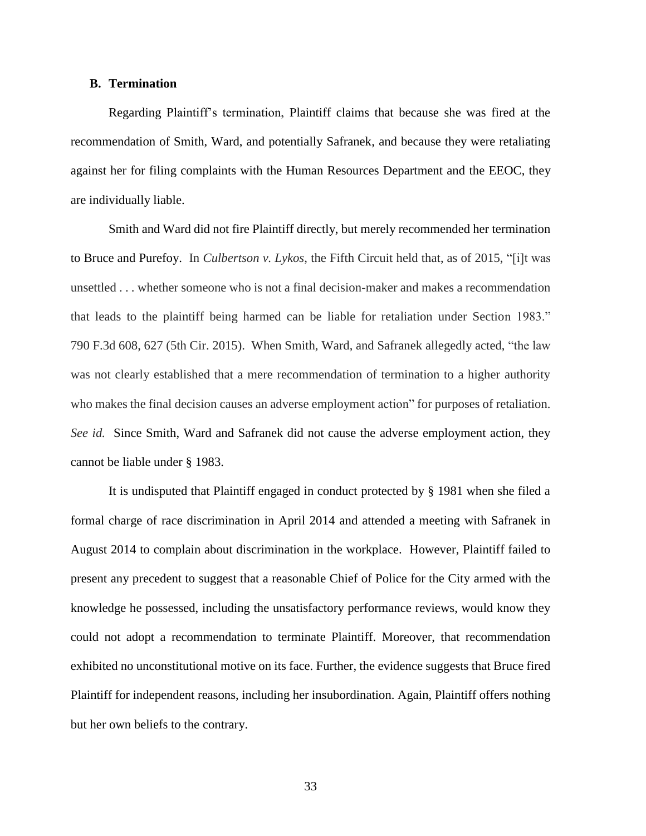## **B. Termination**

Regarding Plaintiff's termination, Plaintiff claims that because she was fired at the recommendation of Smith, Ward, and potentially Safranek, and because they were retaliating against her for filing complaints with the Human Resources Department and the EEOC, they are individually liable.

Smith and Ward did not fire Plaintiff directly, but merely recommended her termination to Bruce and Purefoy. In *Culbertson v. Lykos*, the Fifth Circuit held that, as of 2015, "[i]t was unsettled . . . whether someone who is not a final decision-maker and makes a recommendation that leads to the plaintiff being harmed can be liable for retaliation under Section 1983." 790 F.3d 608, 627 (5th Cir. 2015). When Smith, Ward, and Safranek allegedly acted, "the law was not clearly established that a mere recommendation of termination to a higher authority who makes the final decision causes an adverse employment action" for purposes of retaliation. *See id.* Since Smith, Ward and Safranek did not cause the adverse employment action, they cannot be liable under § 1983.

It is undisputed that Plaintiff engaged in conduct protected by § 1981 when she filed a formal charge of race discrimination in April 2014 and attended a meeting with Safranek in August 2014 to complain about discrimination in the workplace. However, Plaintiff failed to present any precedent to suggest that a reasonable Chief of Police for the City armed with the knowledge he possessed, including the unsatisfactory performance reviews, would know they could not adopt a recommendation to terminate Plaintiff. Moreover, that recommendation exhibited no unconstitutional motive on its face. Further, the evidence suggests that Bruce fired Plaintiff for independent reasons, including her insubordination. Again, Plaintiff offers nothing but her own beliefs to the contrary.